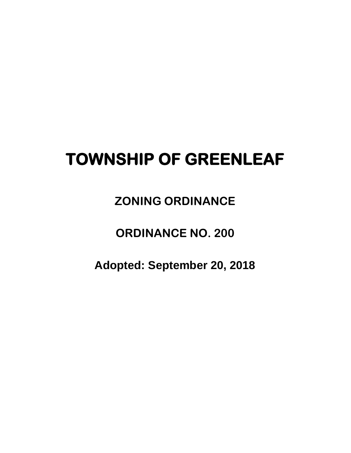# **TOWNSHIP OF GREENLEAF**

 **ZONING ORDINANCE**

**ORDINANCE NO. 200**

**Adopted: September 20, 2018**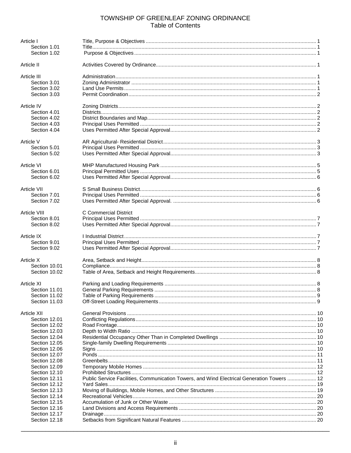# TOWNSHIP OF GREENLEAF ZONING ORDINANCE **Table of Contents**

| Article I                  |                                                                                            |  |
|----------------------------|--------------------------------------------------------------------------------------------|--|
| Section 1.01               |                                                                                            |  |
| Section 1.02               |                                                                                            |  |
| Article II                 |                                                                                            |  |
| Article III                |                                                                                            |  |
| Section 3.01               |                                                                                            |  |
| Section 3.02               |                                                                                            |  |
| Section 3.03               |                                                                                            |  |
| Article IV                 |                                                                                            |  |
| Section 4.01               |                                                                                            |  |
| Section 4.02               |                                                                                            |  |
| Section 4.03               |                                                                                            |  |
| Section 4.04               |                                                                                            |  |
| Article V                  |                                                                                            |  |
| Section 5.01               |                                                                                            |  |
| Section 5.02               |                                                                                            |  |
|                            |                                                                                            |  |
| Article VI<br>Section 6.01 |                                                                                            |  |
| Section 6.02               |                                                                                            |  |
|                            |                                                                                            |  |
| Article VII                |                                                                                            |  |
| Section 7.01               |                                                                                            |  |
| Section 7.02               |                                                                                            |  |
| Article VIII               | C Commercial District                                                                      |  |
| Section 8.01               |                                                                                            |  |
| Section 8.02               |                                                                                            |  |
| Article IX                 |                                                                                            |  |
| Section 9.01               |                                                                                            |  |
| Section 9.02               |                                                                                            |  |
| Article X                  |                                                                                            |  |
| Section 10.01              |                                                                                            |  |
| Section 10.02              |                                                                                            |  |
|                            |                                                                                            |  |
| Article XI                 |                                                                                            |  |
| Section 11.01              |                                                                                            |  |
| Section 11.02              |                                                                                            |  |
| Section 11.03              |                                                                                            |  |
| Article XII                |                                                                                            |  |
| Section 12.01              |                                                                                            |  |
| Section 12.02              |                                                                                            |  |
| Section 12.03              |                                                                                            |  |
| Section 12.04              |                                                                                            |  |
| Section 12.05              |                                                                                            |  |
| Section 12.06              |                                                                                            |  |
| Section 12.07              |                                                                                            |  |
| Section 12.08              |                                                                                            |  |
| Section 12.09              |                                                                                            |  |
| Section 12.10              |                                                                                            |  |
| Section 12.11              | Public Service Facilities, Communication Towers, and Wind Electrical Generation Towers  12 |  |
| Section 12.12              |                                                                                            |  |
| Section 12.13              |                                                                                            |  |
| Section 12.14              |                                                                                            |  |
| Section 12.15              |                                                                                            |  |
| Section 12.16              |                                                                                            |  |
| Section 12.17              |                                                                                            |  |
| Section 12.18              |                                                                                            |  |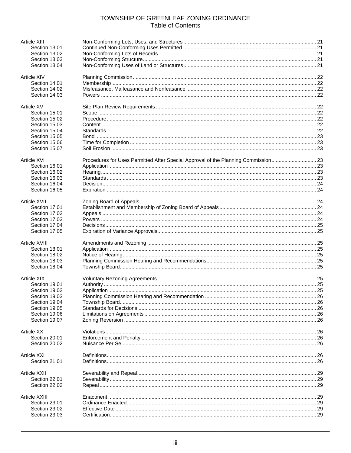# TOWNSHIP OF GREENLEAF ZONING ORDINANCE **Table of Contents**

| Article XIII       |                                                                                    |    |
|--------------------|------------------------------------------------------------------------------------|----|
| Section 13.01      |                                                                                    |    |
| Section 13.02      |                                                                                    |    |
| Section 13.03      |                                                                                    |    |
| Section 13.04      |                                                                                    |    |
|                    |                                                                                    |    |
| Article XIV        |                                                                                    |    |
| Section 14.01      |                                                                                    |    |
|                    |                                                                                    |    |
| Section 14.02      |                                                                                    |    |
| Section 14.03      |                                                                                    |    |
| <b>Article XV</b>  |                                                                                    |    |
| Section 15.01      |                                                                                    |    |
|                    |                                                                                    |    |
| Section 15.02      |                                                                                    |    |
| Section 15.03      |                                                                                    |    |
| Section 15.04      |                                                                                    |    |
| Section 15.05      |                                                                                    |    |
| Section 15.06      |                                                                                    |    |
| Section 15.07      |                                                                                    |    |
|                    |                                                                                    |    |
| Article XVI        | Procedures for Uses Permitted After Special Approval of the Planning Commission 23 |    |
| Section 16.01      |                                                                                    |    |
| Section 16.02      |                                                                                    |    |
| Section 16.03      |                                                                                    |    |
| Section 16.04      |                                                                                    |    |
| Section 16.05      |                                                                                    |    |
|                    |                                                                                    |    |
| Article XVII       |                                                                                    |    |
| Section 17.01      |                                                                                    |    |
| Section 17.02      |                                                                                    |    |
| Section 17.03      |                                                                                    |    |
| Section 17.04      |                                                                                    |    |
| Section 17.05      |                                                                                    |    |
|                    |                                                                                    |    |
| Article XVIII      |                                                                                    |    |
| Section 18.01      |                                                                                    |    |
| Section 18.02      |                                                                                    |    |
| Section 18.03      |                                                                                    |    |
|                    |                                                                                    |    |
| Section 18.04      |                                                                                    |    |
| <b>Article XIX</b> |                                                                                    |    |
| Section 19.01      |                                                                                    |    |
| Section 19.02      | Application                                                                        | 25 |
|                    |                                                                                    |    |
| Section 19.03      |                                                                                    |    |
| Section 19.04      |                                                                                    |    |
| Section 19.05      |                                                                                    |    |
| Section 19.06      |                                                                                    |    |
| Section 19.07      |                                                                                    |    |
|                    |                                                                                    |    |
| Article XX         |                                                                                    |    |
| Section 20.01      |                                                                                    |    |
| Section 20.02      |                                                                                    |    |
| <b>Article XXI</b> |                                                                                    |    |
| Section 21.01      |                                                                                    |    |
|                    |                                                                                    |    |
| Article XXII       |                                                                                    |    |
| Section 22.01      |                                                                                    |    |
| Section 22.02      |                                                                                    |    |
|                    |                                                                                    |    |
| Article XXIII      |                                                                                    |    |
| Section 23.01      |                                                                                    |    |
| Section 23.02      |                                                                                    |    |
| Section 23.03      |                                                                                    |    |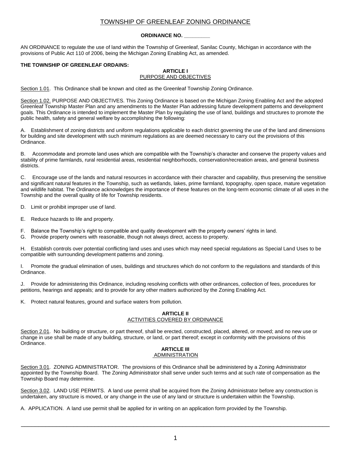#### **ORDINANCE NO. \_\_\_\_\_\_\_\_\_**

AN ORDINANCE to regulate the use of land within the Township of Greenleaf, Sanilac County, Michigan in accordance with the provisions of Public Act 110 of 2006, being the Michigan Zoning Enabling Act, as amended.

#### **THE TOWNSHIP OF GREENLEAF ORDAINS:**

#### **ARTICLE I** PURPOSE AND OBJECTIVES

Section 1.01. This Ordinance shall be known and cited as the Greenleaf Township Zoning Ordinance.

Section 1.02. PURPOSE AND OBJECTIVES. This Zoning Ordinance is based on the Michigan Zoning Enabling Act and the adopted Greenleaf Township Master Plan and any amendments to the Master Plan addressing future development patterns and development goals. This Ordinance is intended to implement the Master Plan by regulating the use of land, buildings and structures to promote the public health, safety and general welfare by accomplishing the following:

A. Establishment of zoning districts and uniform regulations applicable to each district governing the use of the land and dimensions for building and site development with such minimum regulations as are deemed necessary to carry out the provisions of this Ordinance.

B. Accommodate and promote land uses which are compatible with the Township's character and conserve the property values and stability of prime farmlands, rural residential areas, residential neighborhoods, conservation/recreation areas, and general business districts.

C. Encourage use of the lands and natural resources in accordance with their character and capability, thus preserving the sensitive and significant natural features in the Township, such as wetlands, lakes, prime farmland, topography, open space, mature vegetation and wildlife habitat. The Ordinance acknowledges the importance of these features on the long-term economic climate of all uses in the Township and the overall quality of life for Township residents.

D. Limit or prohibit improper use of land.

- E. Reduce hazards to life and property.
- F. Balance the Township's right to compatible and quality development with the property owners' rights in land.
- G. Provide property owners with reasonable, though not always direct, access to property.

H. Establish controls over potential conflicting land uses and uses which may need special regulations as Special Land Uses to be compatible with surrounding development patterns and zoning.

I. Promote the gradual elimination of uses, buildings and structures which do not conform to the regulations and standards of this Ordinance.

J. Provide for administering this Ordinance, including resolving conflicts with other ordinances, collection of fees, procedures for petitions, hearings and appeals; and to provide for any other matters authorized by the Zoning Enabling Act.

Protect natural features, ground and surface waters from pollution.

#### **ARTICLE II** ACTIVITIES COVERED BY ORDINANCE

Section 2.01. No building or structure, or part thereof, shall be erected, constructed, placed, altered, or moved; and no new use or change in use shall be made of any building, structure, or land, or part thereof; except in conformity with the provisions of this Ordinance.

#### **ARTICLE III** ADMINISTRATION

Section 3.01. ZONING ADMINISTRATOR. The provisions of this Ordinance shall be administered by a Zoning Administrator appointed by the Township Board. The Zoning Administrator shall serve under such terms and at such rate of compensation as the Township Board may determine.

Section 3.02. LAND USE PERMITS. A land use permit shall be acquired from the Zoning Administrator before any construction is undertaken, any structure is moved, or any change in the use of any land or structure is undertaken within the Township.

A. APPLICATION. A land use permit shall be applied for in writing on an application form provided by the Township.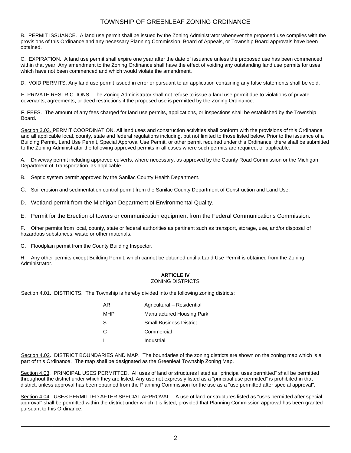B. PERMIT ISSUANCE. A land use permit shall be issued by the Zoning Administrator whenever the proposed use complies with the provisions of this Ordinance and any necessary Planning Commission, Board of Appeals, or Township Board approvals have been obtained.

C. EXPIRATION. A land use permit shall expire one year after the date of issuance unless the proposed use has been commenced within that year. Any amendment to the Zoning Ordinance shall have the effect of voiding any outstanding land use permits for uses which have not been commenced and which would violate the amendment.

D. VOID PERMITS. Any land use permit issued in error or pursuant to an application containing any false statements shall be void.

E. PRIVATE RESTRICTIONS. The Zoning Administrator shall not refuse to issue a land use permit due to violations of private covenants, agreements, or deed restrictions if the proposed use is permitted by the Zoning Ordinance.

F. FEES. The amount of any fees charged for land use permits, applications, or inspections shall be established by the Township Board.

Section 3.03. PERMIT COORDINATION. All land uses and construction activities shall conform with the provisions of this Ordinance and all applicable local, county, state and federal regulations including, but not limited to those listed below. Prior to the issuance of a Building Permit, Land Use Permit, Special Approval Use Permit, or other permit required under this Ordinance, there shall be submitted to the Zoning Administrator the following approved permits in all cases where such permits are required, or applicable:

A. Driveway permit including approved culverts, where necessary, as approved by the County Road Commission or the Michigan Department of Transportation, as applicable.

B. Septic system permit approved by the Sanilac County Health Department.

C. Soil erosion and sedimentation control permit from the Sanilac County Department of Construction and Land Use.

D. Wetland permit from the Michigan Department of Environmental Quality.

E. Permit for the Erection of towers or communication equipment from the Federal Communications Commission.

F. Other permits from local, county, state or federal authorities as pertinent such as transport, storage, use, and/or disposal of hazardous substances, waste or other materials.

G. Floodplain permit from the County Building Inspector.

H. Any other permits except Building Permit, which cannot be obtained until a Land Use Permit is obtained from the Zoning Administrator.

# **ARTICLE IV**

#### ZONING DISTRICTS

Section 4.01. DISTRICTS. The Township is hereby divided into the following zoning districts:

| AR. | Agricultural - Residential     |
|-----|--------------------------------|
| MHP | Manufactured Housing Park      |
| S   | <b>Small Business District</b> |
| C   | Commercial                     |
|     | Industrial                     |

Section 4.02. DISTRICT BOUNDARIES AND MAP. The boundaries of the zoning districts are shown on the zoning map which is a part of this Ordinance. The map shall be designated as the Greenleaf Township Zoning Map.

Section 4.03. PRINCIPAL USES PERMITTED. All uses of land or structures listed as "principal uses permitted" shall be permitted throughout the district under which they are listed. Any use not expressly listed as a "principal use permitted" is prohibited in that district, unless approval has been obtained from the Planning Commission for the use as a "use permitted after special approval".

Section 4.04. USES PERMITTED AFTER SPECIAL APPROVAL. A use of land or structures listed as "uses permitted after special approval" shall be permitted within the district under which it is listed, provided that Planning Commission approval has been granted pursuant to this Ordinance.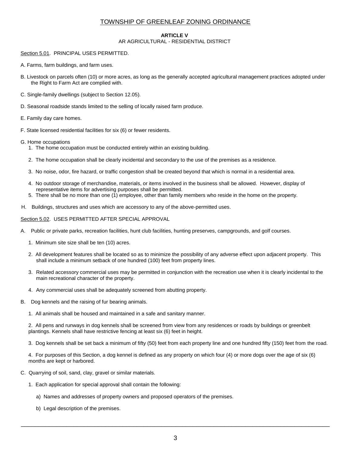#### **ARTICLE V**

## AR AGRICULTURAL - RESIDENTIAL DISTRICT

#### Section 5.01. PRINCIPAL USES PERMITTED.

- A. Farms, farm buildings, and farm uses.
- B. Livestock on parcels often (10) or more acres, as long as the generally accepted agricultural management practices adopted under the Right to Farm Act are complied with.
- C. Single-family dwellings (subject to Section 12.05).
- D. Seasonal roadside stands limited to the selling of locally raised farm produce.
- E. Family day care homes.
- F. State licensed residential facilities for six (6) or fewer residents.
- G. Home occupations
	- 1. The home occupation must be conducted entirely within an existing building.
	- 2. The home occupation shall be clearly incidental and secondary to the use of the premises as a residence.
	- 3. No noise, odor, fire hazard, or traffic congestion shall be created beyond that which is normal in a residential area.
	- 4. No outdoor storage of merchandise, materials, or items involved in the business shall be allowed. However, display of representative items for advertising purposes shall be permitted.
	- 5. There shall be no more than one (1) employee, other than family members who reside in the home on the property.
- H. Buildings, structures and uses which are accessory to any of the above-permitted uses.

Section 5.02. USES PERMITTED AFTER SPECIAL APPROVAL

- A. Public or private parks, recreation facilities, hunt club facilities, hunting preserves, campgrounds, and golf courses.
	- 1. Minimum site size shall be ten (10) acres.
	- 2. All development features shall be located so as to minimize the possibility of any adverse effect upon adjacent property. This shall include a minimum setback of one hundred (100) feet from property lines.
	- 3. Related accessory commercial uses may be permitted in conjunction with the recreation use when it is clearly incidental to the main recreational character of the property.
	- 4. Any commercial uses shall be adequately screened from abutting property.
- B. Dog kennels and the raising of fur bearing animals.
	- 1. All animals shall be housed and maintained in a safe and sanitary manner.

2. All pens and runways in dog kennels shall be screened from view from any residences or roads by buildings or greenbelt plantings. Kennels shall have restrictive fencing at least six (6) feet in height.

3. Dog kennels shall be set back a minimum of fifty (50) feet from each property line and one hundred fifty (150) feet from the road.

4. For purposes of this Section, a dog kennel is defined as any property on which four (4) or more dogs over the age of six (6) months are kept or harbored.

- C. Quarrying of soil, sand, clay, gravel or similar materials.
	- 1. Each application for special approval shall contain the following:
		- a) Names and addresses of property owners and proposed operators of the premises.
		- b) Legal description of the premises.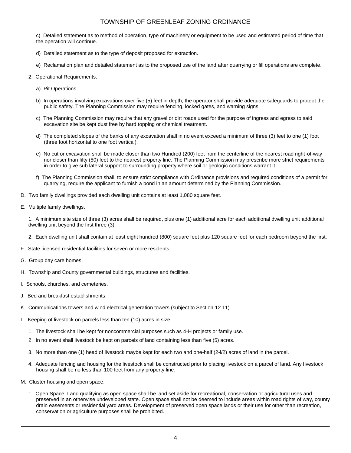c) Detailed statement as to method of operation, type of machinery or equipment to be used and estimated period of time that the operation will continue.

- d) Detailed statement as to the type of deposit proposed for extraction.
- e) Reclamation plan and detailed statement as to the proposed use of the land after quarrying or fill operations are complete.
- 2. Operational Requirements.
	- a) Pit Operations.
	- b) In operations involving excavations over five (5) feet in depth, the operator shall provide adequate safeguards to protect the public safety. The Planning Commission may require fencing, locked gates, and warning signs.
	- c) The Planning Commission may require that any gravel or dirt roads used for the purpose of ingress and egress to said excavation site be kept dust free by hard topping or chemical treatment.
	- d) The completed slopes of the banks of any excavation shall in no event exceed a minimum of three (3) feet to one (1) foot (three foot horizontal to one foot vertical).
	- e) No cut or excavation shall be made closer than two Hundred (200) feet from the centerline of the nearest road right-of-way nor closer than fifty (50) feet to the nearest property line. The Planning Commission may prescribe more strict requirements in order to give sub lateral support to surrounding property where soil or geologic conditions warrant it.
	- f) The Planning Commission shall, to ensure strict compliance with Ordinance provisions and required conditions of a permit for quarrying, require the applicant to furnish a bond in an amount determined by the Planning Commission.
- D. Two family dwellings provided each dwelling unit contains at least 1,080 square feet.
- E. Multiple family dwellings.

1. A minimum site size of three (3) acres shall be required, plus one (1) additional acre for each additional dwelling unit additional dwelling unit beyond the first three (3).

- 2. Each dwelling unit shall contain at least eight hundred (800) square feet plus 120 square feet for each bedroom beyond the first.
- F. State licensed residential facilities for seven or more residents.
- G. Group day care homes.
- H. Township and County governmental buildings, structures and facilities.
- I. Schools, churches, and cemeteries.
- J. Bed and breakfast establishments.
- K. Communications towers and wind electrical generation towers (subject to Section 12.11).
- L. Keeping of livestock on parcels less than ten (10) acres in size.
	- 1. The livestock shall be kept for noncommercial purposes such as 4-H projects or family use.
	- 2. In no event shall livestock be kept on parcels of land containing less than five (5) acres.
	- 3. No more than one (1) head of livestock maybe kept for each two and one-half (2-l/2) acres of land in the parcel.
	- 4. Adequate fencing and housing for the livestock shall be constructed prior to placing livestock on a parcel of land. Any livestock housing shall be no less than 100 feet from any property line.
- M. Cluster housing and open space.
	- 1. Open Space. Land qualifying as open space shall be land set aside for recreational, conservation or agricultural uses and preserved in an otherwise undeveloped state. Open space shall not be deemed to include areas within road rights of way, county drain easements or residential yard areas. Development of preserved open space lands or their use for other than recreation, conservation or agriculture purposes shall be prohibited.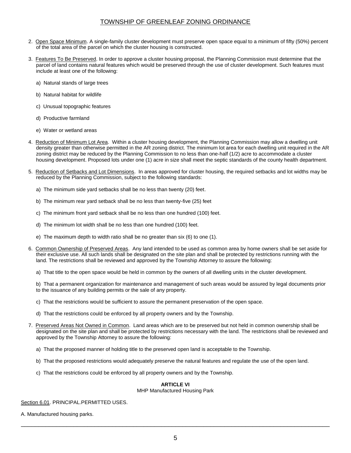- 2. Open Space Minimum. A single-family cluster development must preserve open space equal to a minimum of fifty (50%) percent of the total area of the parcel on which the cluster housing is constructed.
- 3. Features To Be Preserved. In order to approve a cluster housing proposal, the Planning Commission must determine that the parcel of land contains natural features which would be preserved through the use of cluster development. Such features must include at least one of the following:
	- a) Natural stands of large trees
	- b) Natural habitat for wildlife
	- c) Unusual topographic features
	- d) Productive farmland
	- e) Water or wetland areas
- 4. Reduction of Minimum Lot Area. Within a cluster housing development, the Planning Commission may allow a dwelling unit density greater than otherwise permitted in the AR zoning district. The minimum lot area for each dwelling unit required in the AR zoning district may be reduced by the Planning Commission to no less than one-half (1/2) acre to accommodate a cluster housing development. Proposed lots under one (1) acre in size shall meet the septic standards of the county health department.
- 5. Reduction of Setbacks and Lot Dimensions. In areas approved for cluster housing, the required setbacks and lot widths may be reduced by the Planning Commission, subject to the following standards:
	- a) The minimum side yard setbacks shall be no less than twenty (20) feet.
	- b) The minimum rear yard setback shall be no less than twenty-five (25) feet
	- c) The minimum front yard setback shall be no less than one hundred (100) feet.
	- d) The minimum lot width shall be no less than one hundred (100) feet.
	- e) The maximum depth to width ratio shall be no greater than six (6) to one (1).
- 6. Common Ownership of Preserved Areas. Any land intended to be used as common area by home owners shall be set aside for their exclusive use. All such lands shall be designated on the site plan and shall be protected by restrictions running with the land. The restrictions shall be reviewed and approved by the Township Attorney to assure the following:
	- a) That title to the open space would be held in common by the owners of all dwelling units in the cluster development.
	- b) That a permanent organization for maintenance and management of such areas would be assured by legal documents prior to the issuance of any building permits or the sale of any property.
	- c) That the restrictions would be sufficient to assure the permanent preservation of the open space.
	- d) That the restrictions could be enforced by all property owners and by the Township.
- 7. Preserved Areas Not Owned in Common. Land areas which are to be preserved but not held in common ownership shall be designated on the site plan and shall be protected by restrictions necessary with the land. The restrictions shall be reviewed and approved by the Township Attorney to assure the following:
	- a) That the proposed manner of holding title to the preserved open land is acceptable to the Township.
	- b) That the proposed restrictions would adequately preserve the natural features and regulate the use of the open land.
	- c) That the restrictions could be enforced by all property owners and by the Township.

## **ARTICLE VI**

#### MHP Manufactured Housing Park

Section 6.01. PRINCIPAL.PERMITTED USES.

A. Manufactured housing parks.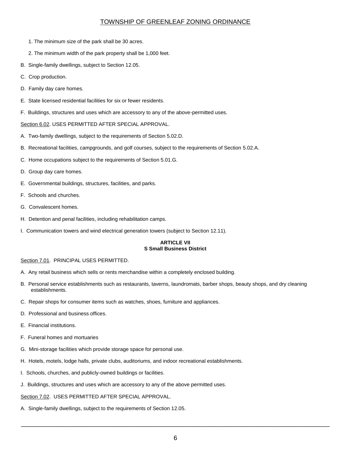- 1. The minimum size of the park shall be 30 acres.
- 2. The minimum width of the park property shall be 1,000 feet.
- B. Single-family dwellings, subject to Section 12.05.
- C. Crop production.
- D. Family day care homes.
- E. State licensed residential facilities for six or fewer residents.
- F. Buildings, structures and uses which are accessory to any of the above-permitted uses.

#### Section 6.02. USES PERMITTED AFTER SPECIAL APPROVAL.

- A. Two-family dwellings, subject to the requirements of Section 5.02.D.
- B. Recreational facilities, campgrounds, and golf courses, subject to the requirements of Section 5.02.A.
- C. Home occupations subject to the requirements of Section 5.01.G.
- D. Group day care homes.
- E. Governmental buildings, structures, facilities, and parks.
- F. Schools and churches.
- G. Convalescent homes.
- H. Detention and penal facilities, including rehabilitation camps.
- I. Communication towers and wind electrical generation towers (subject to Section 12.11).

#### **ARTICLE VII S Small Business District**

#### Section 7.01. PRINCIPAL USES PERMITTED.

- A. Any retail business which sells or rents merchandise within a completely enclosed building.
- B. Personal service establishments such as restaurants, taverns, laundromats, barber shops, beauty shops, and dry cleaning establishments.
- C. Repair shops for consumer items such as watches, shoes, furniture and appliances.
- D. Professional and business offices.
- E. Financial institutions.
- F. Funeral homes and mortuaries
- G. Mini-storage facilities which provide storage space for personal use.
- H. Hotels, motels, lodge halls, private clubs, auditoriums, and indoor recreational establishments.
- I. Schools, churches, and publicly-owned buildings or facilities.
- J. Buildings, structures and uses which are accessory to any of the above permitted uses.

#### Section 7.02. USES PERMITTED AFTER SPECIAL APPROVAL.

A. Single-family dwellings, subject to the requirements of Section 12.05.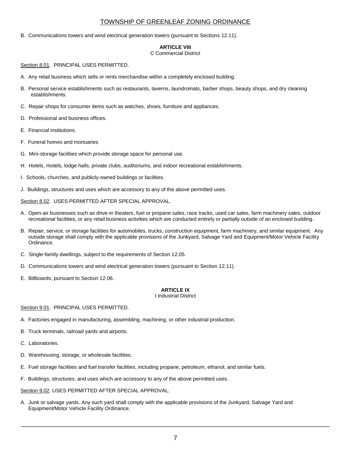B. Communications towers and wind electrical generation towers (pursuant to Sections 12.11).

# **ARTICLE VIII**

C Commercial District

Section 8.01. PRINCIPAL USES PERMITTED.

- A. Any retail business which sells or rents merchandise within a completely enclosed building.
- B. Personal service establishments such as restaurants, taverns, laundromats, barber shops, beauty shops, and dry cleaning establishments.
- C. Repair shops for consumer items such as watches, shoes, furniture and appliances.
- D. Professional and business offices.
- E. Financial institutions.
- F. Funeral homes and mortuaries
- G. Mini-storage facilities which provide storage space for personal use.
- H. Hotels, motels, lodge halls, private clubs, auditoriums, and indoor recreational establishments.
- I. Schools, churches, and publicly-owned buildings or facilities.
- J. Buildings, structures and uses which are accessory to any of the above permitted uses.

Section 8.02. USES PERMITTED AFTER SPECIAL APPROVAL.

- A. Open-air businesses such as drive-in theaters, fuel or propane sales, race tracks, used car sales, farm machinery sales, outdoor recreational facilities, or any retail business activities which are conducted entirely or partially outside of an enclosed building.
- B. Repair, service, or storage facilities for automobiles, trucks, construction equipment, farm machinery, and similar equipment. Any outside storage shall comply with the applicable provisions of the Junkyard, Salvage Yard and Equipment/Motor Vehicle Facility Ordinance.
- C. Single-family dwellings, subject to the requirements of Section 12.05.
- D. Communications towers and wind electrical generation towers (pursuant to Section 12.11).
- E. Billboards, pursuant to Section 12.06.

## **ARTICLE IX**

#### I Industrial District

#### Section 9.01. PRINCIPAL USES PERMITTED.

- A. Factories engaged in manufacturing, assembling, machining, or other industrial production.
- B. Truck terminals, railroad yards and airports.
- C. Laboratories.
- D. Warehousing, storage, or wholesale facilities.
- E. Fuel storage facilities and fuel transfer facilities, including propane, petroleum, ethanol, and similar fuels.
- F. Buildings, structures, and uses which are accessory to any of the above permitted uses.

Section 9.02. USES PERMITTED AFTER SPECIAL APPROVAL.

A. Junk or salvage yards. Any such yard shall comply with the applicable provisions of the Junkyard, Salvage Yard and Equipment/Motor Vehicle Facility Ordinance.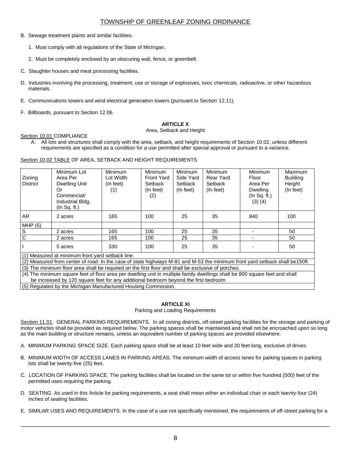- B. Sewage treatment plants and similar facilities.
	- 1. Must comply with all regulations of the State of Michigan.
	- 2. Must be completely enclosed by an obscuring wall, fence, or greenbelt.
- C. Slaughter houses and meat processing facilities.
- D. Industries involving the processing, treatment, use or storage of explosives, toxic chemicals, radioactive, or other hazardous materials.
- E. Communications towers and wind electrical generation towers (pursuant to Section 12.11).
- F. Billboards, pursuant to Section 12.06.

## **ARTICLE X**

#### Area, Setback and Height

#### Section 10.01 COMPLIANCE

A. All lots and structures shall comply with the area, setback, and height requirements of Section 10.02, unless different requirements are specified as a condition for a use permitted after special approval or pursuant to a variance.

## Section 10.02 TABLE OF AREA, SETBACK AND HEIGHT REQUIREMENTS

| Zoning<br><b>District</b>                                                                                                  | Minimum Lot<br>Area Per<br>Dwelling Unit<br>Or<br>Commercial/<br>Industrial Bldg.<br>(In Sq. ft.) | <b>Minimum</b><br>Lot Width<br>(In feet)<br>(1) | <b>Minimum</b><br><b>Front Yard</b><br>Setback<br>(In feet)<br>(2) | Minimum<br>Side Yard<br>Setback<br>(In feet) | <b>Minimum</b><br>Rear Yard<br>Setback<br>(In feet) | Minimum<br>Floor<br>Area Per<br><b>Dwelling</b><br>(In Sq. ft.)<br>$(3)$ $(4)$ | Maximum<br><b>Building</b><br>Height<br>(In feet) |
|----------------------------------------------------------------------------------------------------------------------------|---------------------------------------------------------------------------------------------------|-------------------------------------------------|--------------------------------------------------------------------|----------------------------------------------|-----------------------------------------------------|--------------------------------------------------------------------------------|---------------------------------------------------|
| AR.                                                                                                                        | 2 acres                                                                                           | 165                                             | 100                                                                | 25                                           | 35                                                  | 840                                                                            | 100                                               |
| MHP(5)                                                                                                                     |                                                                                                   |                                                 |                                                                    |                                              |                                                     |                                                                                |                                                   |
| S                                                                                                                          | 2 acres                                                                                           | 165                                             | 100                                                                | 25                                           | 35                                                  |                                                                                | 50                                                |
| $\mathsf{C}$                                                                                                               | 2 acres                                                                                           | 165                                             | 100                                                                | 25                                           | 35                                                  |                                                                                | 50                                                |
|                                                                                                                            | 5 acres                                                                                           | 330                                             | 100                                                                | 25                                           | 35                                                  |                                                                                | 50                                                |
| (1) Measured at minimum front yard setback line.                                                                           |                                                                                                   |                                                 |                                                                    |                                              |                                                     |                                                                                |                                                   |
| (2) Measured from center of road. In the case of state highways M-81 and M-53 the minimum front yard setback shall be150ft |                                                                                                   |                                                 |                                                                    |                                              |                                                     |                                                                                |                                                   |
|                                                                                                                            | (3) The minimum floor area shall be required on the first floor and shall be evolusive of porches |                                                 |                                                                    |                                              |                                                     |                                                                                |                                                   |

(3) The minimum floor area shall be required on the first floor and shall be exclusive of porches. (4) The minimum square feet of floor area per dwelling unit in multiple family dwellings shall be 800 square feet and shall be increased by 120 square feet for any additional bedroom beyond the first bedroom

(5) Regulated by the Michigan Manufactured Housing Commission.

## **ARTICLE XI**

#### Parking and Loading Requirements

Section 11.01. GENERAL PARKING REQUIREMENTS. In all zoning districts, off-street parking facilities for the storage and parking of motor vehicles shall be provided as required below. The parking spaces shall be maintained and shall not be encroached upon so long as the main building or structure remains, unless an equivalent number of parking spaces are provided elsewhere.

- A. MINIMUM PARKING SPACE SIZE. Each parking space shall be at least 10 feet wide and 20 feet long, exclusive of drives.
- B. MINIMUM WIDTH OF ACCESS LANES IN PARKING AREAS. The minimum width of access lanes for parking spaces in parking lots shall be twenty-five (25) feet.
- C. LOCATION OF PARKING SPACE. The parking facilities shall be located on the same lot or within five hundred (500) feet of the permitted uses requiring the parking.
- D. SEATING. As used in this Article for parking requirements, a seat shall mean either an individual chair or each twenty-four (24) inches of seating facilities.
- E. SIMILAR USES AND REQUIREMENTS. In the case of a use not specifically mentioned, the requirements of off-street parking for a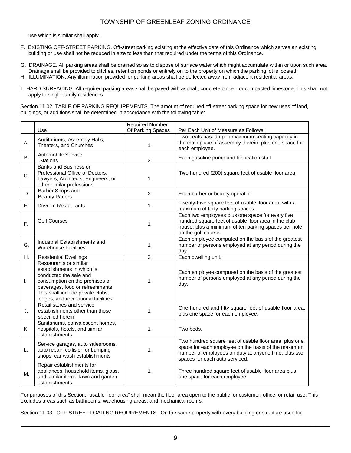use which is similar shall apply.

- F. EXISTING OFF-STREET PARKING. Off-street parking existing at the effective date of this Ordinance which serves an existing building or use shall not be reduced in size to less than that required under the terms of this Ordinance.
- G. DRAINAGE. All parking areas shall be drained so as to dispose of surface water which might accumulate within or upon such area. Drainage shall be provided to ditches, retention ponds or entirely on to the property on which the parking lot is located.
- H. ILLUMINATION. Any illumination provided for parking areas shall be deflected away from adjacent residential areas.
- I. HARD SURFACING. All required parking areas shall be paved with asphalt, concrete binder, or compacted limestone. This shall not apply to single-family residences.

Section 11.02. TABLE OF PARKING REQUIREMENTS. The amount of required off-street parking space for new uses of land, buildings, or additions shall be determined in accordance with the following table:

|    |                                                                                                                                                                                                                                  | <b>Required Number</b> |                                                                                                                                                                                                         |
|----|----------------------------------------------------------------------------------------------------------------------------------------------------------------------------------------------------------------------------------|------------------------|---------------------------------------------------------------------------------------------------------------------------------------------------------------------------------------------------------|
|    | Use                                                                                                                                                                                                                              | Of Parking Spaces      | Per Each Unit of Measure as Follows:                                                                                                                                                                    |
| Α. | Auditoriums, Assembly Halls,<br>Theaters, and Churches                                                                                                                                                                           | $\mathbf{1}$           | Two seats based upon maximum seating capacity in<br>the main place of assembly therein, plus one space for<br>each employee.                                                                            |
| В. | Automobile Service<br><b>Stations</b>                                                                                                                                                                                            | $\overline{2}$         | Each gasoline pump and lubrication stall                                                                                                                                                                |
| C. | <b>Banks and Business or</b><br>Professional Office of Doctors,<br>Lawyers, Architects, Engineers, or<br>other similar professions                                                                                               | 1                      | Two hundred (200) square feet of usable floor area.                                                                                                                                                     |
| D. | <b>Barber Shops and</b><br><b>Beauty Parlors</b>                                                                                                                                                                                 | $\overline{c}$         | Each barber or beauty operator.                                                                                                                                                                         |
| Е. | <b>Drive-In Restaurants</b>                                                                                                                                                                                                      | $\mathbf{1}$           | Twenty-Five square feet of usable floor area, with a<br>maximum of forty parking spaces.                                                                                                                |
| F. | <b>Golf Courses</b>                                                                                                                                                                                                              | 1                      | Each two employees plus one space for every five<br>hundred square feet of usable floor area in the club<br>house, plus a minimum of ten parking spaces per hole<br>on the golf course.                 |
| G. | Industrial Establishments and<br><b>Warehouse Facilities</b>                                                                                                                                                                     | 1                      | Each employee computed on the basis of the greatest<br>number of persons employed at any period during the<br>day.                                                                                      |
| Η. | <b>Residential Dwellings</b>                                                                                                                                                                                                     | $\overline{c}$         | Each dwelling unit.                                                                                                                                                                                     |
| I. | Restaurants or similar<br>establishments in which is<br>conducted the sale and<br>consumption on the premises of<br>beverages, food or refreshments.<br>This shall include private clubs,<br>lodges, and recreational facilities | 1                      | Each employee computed on the basis of the greatest<br>number of persons employed at any period during the<br>day.                                                                                      |
| J. | Retail stores and service<br>establishments other than those<br>specified herein                                                                                                                                                 | 1                      | One hundred and fifty square feet of usable floor area,<br>plus one space for each employee.                                                                                                            |
| Κ. | Sanitariums, convalescent homes,<br>hospitals, hotels, and similar<br>establishments                                                                                                                                             | 1                      | Two beds.                                                                                                                                                                                               |
| L. | Service garages, auto salesrooms,<br>auto repair, collision or bumping<br>shops, car wash establishments                                                                                                                         | 1                      | Two hundred square feet of usable floor area, plus one<br>space for each employee on the basis of the maximum<br>number of employees on duty at anyone time, plus two<br>spaces for each auto serviced. |
| М. | Repair establishments for<br>appliances, household items, glass,<br>and similar items; lawn and garden<br>establishments                                                                                                         | 1                      | Three hundred square feet of usable floor area plus<br>one space for each employee                                                                                                                      |

For purposes of this Section, "usable floor area" shall mean the floor area open to the public for customer, office, or retail use. This excludes areas such as bathrooms, warehousing areas, and mechanical rooms.

Section 11.03. OFF-STREET LOADING REQUIREMENTS. On the same property with every building or structure used for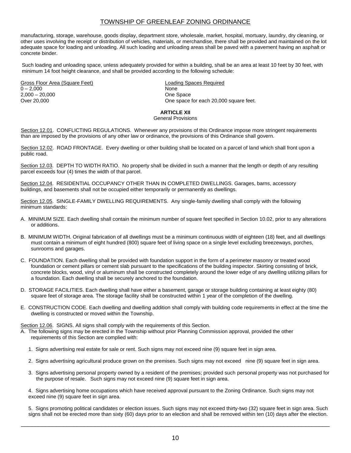manufacturing, storage, warehouse, goods display, department store, wholesale, market, hospital, mortuary, laundry, dry cleaning, or other uses involving the receipt or distribution of vehicles, materials, or merchandise, there shall be provided and maintained on the lot adequate space for loading and unloading. All such loading and unloading areas shall be paved with a pavement having an asphalt or concrete binder.

Such loading and unloading space, unless adequately provided for within a building, shall be an area at least 10 feet by 30 feet, with minimum 14 foot height clearance, and shall be provided according to the following schedule:

Gross Floor Area (Square Feet) **Loading Spaces Required**  $0 - 2,000$  None 2,000 – 20,000 One Space

One space for each 20,000 square feet.

## **ARTICLE XII**

#### General Provisions

Section 12.01. CONFLICTING REGULATIONS. Whenever any provisions of this Ordinance impose more stringent requirements than are imposed by the provisions of any other law or ordinance, the provisions of this Ordinance shall govern.

Section 12.02. ROAD FRONTAGE. Every dwelling or other building shall be located on a parcel of land which shall front upon a public road.

Section 12.03. DEPTH TO WIDTH RATIO. No property shall be divided in such a manner that the length or depth of any resulting parcel exceeds four (4) times the width of that parcel.

Section 12.04. RESIDENTIAL OCCUPANCY OTHER THAN IN COMPLETED DWELLINGS. Garages, barns, accessory buildings, and basements shall not be occupied either temporarily or permanently as dwellings.

Section 12.05. SINGLE-FAMILY DWELLING REQUIREMENTS. Any single-family dwelling shall comply with the following minimum standards:

- A. MINIMUM SIZE. Each dwelling shall contain the minimum number of square feet specified in Section 10.02, prior to any alterations or additions.
- B. MINIMUM WIDTH. Original fabrication of all dwellings must be a minimum continuous width of eighteen (18) feet, and all dwellings must contain a minimum of eight hundred (800) square feet of living space on a single level excluding breezeways, porches, sunrooms and garages.
- C. FOUNDATION. Each dwelling shall be provided with foundation support in the form of a perimeter masonry or treated wood foundation or cement pillars or cement slab pursuant to the specifications of the building inspector. Skirting consisting of brick, concrete blocks, wood, vinyl or aluminum shall be constructed completely around the lower edge of any dwelling utilizing pillars for a foundation. Each dwelling shall be securely anchored to the foundation.
- D. STORAGE FACILITIES. Each dwelling shall have either a basement, garage or storage building containing at least eighty (80) square feet of storage area. The storage facility shall be constructed within 1 year of the completion of the dwelling.
- E. CONSTRUCTION CODE. Each dwelling and dwelling addition shall comply with building code requirements in effect at the time the dwelling is constructed or moved within the Township.

Section 12.06. SIGNS. All signs shall comply with the requirements of this Section.

- A. The following signs may be erected in the Township without prior Planning Commission approval, provided the other requirements of this Section are complied with:
	- 1. Signs advertising real estate for sale or rent. Such signs may not exceed nine (9) square feet in sign area.
	- 2. Signs advertising agricultural produce grown on the premises. Such signs may not exceed nine (9) square feet in sign area.
	- 3. Signs advertising personal property owned by a resident of the premises; provided such personal property was not purchased for the purpose of resale. Such signs may not exceed nine (9) square feet in sign area.

4. Signs advertising home occupations which have received approval pursuant to the Zoning Ordinance. Such signs may not exceed nine (9) square feet in sign area.

5. Signs promoting political candidates or election issues. Such signs may not exceed thirty-two (32) square feet in sign area. Such signs shall not be erected more than sixty (60) days prior to an election and shall be removed within ten (10) days after the election.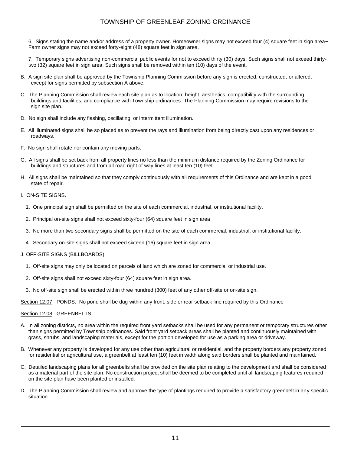6. Signs stating the name and/or address of a property owner. Homeowner signs may not exceed four (4) square feet in sign area~ Farm owner signs may not exceed forty-eight (48) square feet in sign area.

7. Temporary signs advertising non-commercial public events for not to exceed thirty (30) days. Such signs shall not exceed thirtytwo (32) square feet in sign area. Such signs shall be removed within ten (10) days of the event.

- B. A sign site plan shall be approved by the Township Planning Commission before any sign is erected, constructed, or altered, except for signs permitted by subsection A above.
- C. The Planning Commission shall review each site plan as to location, height, aesthetics, compatibility with the surrounding buildings and facilities, and compliance with Township ordinances. The Planning Commission may require revisions to the sign site plan.
- D. No sign shall include any flashing, oscillating, or intermittent illumination.
- E. All illuminated signs shall be so placed as to prevent the rays and illumination from being directly cast upon any residences or roadways.
- F. No sign shall rotate nor contain any moving parts.
- G. All signs shall be set back from all property lines no less than the minimum distance required by the Zoning Ordinance for buildings and structures and from all road right of way lines at least ten (10) feet.
- H. All signs shall be maintained so that they comply continuously with all requirements of this Ordinance and are kept in a good state of repair.
- I. ON-SITE SIGNS.
	- 1. One principal sign shall be permitted on the site of each commercial, industrial, or institutional facility.
	- 2. Principal on-site signs shall not exceed sixty-four (64) square feet in sign area
	- 3. No more than two secondary signs shall be permitted on the site of each commercial, industrial, or institutional facility.
	- 4. Secondary on-site signs shall not exceed sixteen (16) square feet in sign area.
- J. OFF-SITE SIGNS (BILLBOARDS).
	- 1. Off-site signs may only be located on parcels of land which are zoned for commercial or industrial use.
	- 2. Off-site signs shall not exceed sixty-four (64) square feet in sign area.
	- 3. No off-site sign shall be erected within three hundred (300) feet of any other off-site or on-site sign.

Section 12.07. PONDS. No pond shall be dug within any front, side or rear setback line required by this Ordinance

#### Section 12.08. GREENBELTS.

- A. In all zoning districts, no area within the required front yard setbacks shall be used for any permanent or temporary structures other than signs permitted by Township ordinances. Said front yard setback areas shall be planted and continuously maintained with grass, shrubs, and landscaping materials, except for the portion developed for use as a parking area or driveway.
- B. Whenever any property is developed for any use other than agricultural or residential, and the property borders any property zoned for residential or agricultural use, a greenbelt at least ten (10) feet in width along said borders shall be planted and maintained.
- C. Detailed landscaping plans for all greenbelts shall be provided on the site plan relating to the development and shall be considered as a material part of the site plan. No construction project shall be deemed to be completed until all landscaping features required on the site plan have been planted or installed.
- D. The Planning Commission shall review and approve the type of plantings required to provide a satisfactory greenbelt in any specific situation.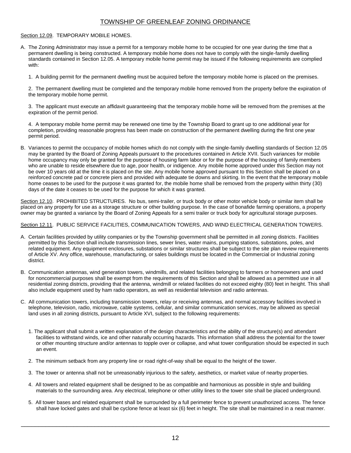#### Section 12.09. TEMPORARY MOBILE HOMES.

A. The Zoning Administrator may issue a permit for a temporary mobile home to be occupied for one year during the time that a permanent dwelling is being constructed. A temporary mobile home does not have to comply with the single-family dwelling standards contained in Section 12.05. A temporary mobile home permit may be issued if the following requirements are complied with:

1. A building permit for the permanent dwelling must be acquired before the temporary mobile home is placed on the premises.

2. The permanent dwelling must be completed and the temporary mobile home removed from the property before the expiration of the temporary mobile home permit.

3. The applicant must execute an affidavit guaranteeing that the temporary mobile home will be removed from the premises at the expiration of the permit period.

4. A temporary mobile home permit may be renewed one time by the Township Board to grant up to one additional year for completion, providing reasonable progress has been made on construction of the permanent dwelling during the first one year permit period.

B. Variances to permit the occupancy of mobile homes which do not comply with the single-family dwelling standards of Section 12.05 may be granted by the Board of Zoning Appeals pursuant to the procedures contained in Article XVII. Such variances for mobile home occupancy may only be granted for the purpose of housing farm labor or for the purpose of the housing of family members who are unable to reside elsewhere due to age, poor health, or indigence. Any mobile home approved under this Section may not be over 10 years old at the time it is placed on the site. Any mobile home approved pursuant to this Section shall be placed on a reinforced concrete pad or concrete piers and provided with adequate tie downs and skirting. In the event that the temporary mobile home ceases to be used for the purpose it was granted for, the mobile home shall be removed from the property within thirty (30) days of the date it ceases to be used for the purpose for which it was granted.

Section 12.10. PROHIBITED STRUCTURES. No bus, semi-trailer, or truck body or other motor vehicle body or similar item shall be placed on any property for use as a storage structure or other building purpose. In the case of bonafide farming operations, a property owner may be granted a variance by the Board of Zoning Appeals for a semi trailer or truck body for agricultural storage purposes.

#### Section 12.11. PUBLIC SERVICE FACILITIES, COMMUNICATION TOWERS, AND WIND ELECTRICAL GENERATION TOWERS.

- A. Certain facilities provided by utility companies or by the Township government shall be permitted in all zoning districts. Facilities permitted by this Section shall include transmission lines, sewer lines, water mains, pumping stations, substations, poles, and related equipment. Any equipment enclosures, substations or similar structures shall be subject to the site plan review requirements of Article XV. Any office, warehouse, manufacturing, or sales buildings must be located in the Commercial or Industrial zoning district.
- B. Communication antennas, wind generation towers, windmills, and related facilities belonging to farmers or homeowners and used for noncommercial purposes shall be exempt from the requirements of this Section and shall be allowed as a permitted use in all residential zoning districts, providing that the antenna, windmill or related facilities do not exceed eighty (80) feet in height. This shall also include equipment used by ham radio operators, as well as residential television and radio antennas.
- C. All communication towers, including transmission towers, relay or receiving antennas, and normal accessory facilities involved in telephone, television, radio, microwave, cable systems, cellular, and similar communication services, may be allowed as special land uses in all zoning districts, pursuant to Article XVI, subject to the following requirements:
	- 1. The applicant shall submit a written explanation of the design characteristics and the ability of the structure(s) and attendant facilities to withstand winds, ice and other naturally occurring hazards. This information shall address the potential for the tower or other mounting structure and/or antennas to topple over or collapse, and what tower configuration should be expected in such an event.
	- 2. The minimum setback from any property line or road right-of-way shall be equal to the height of the tower.
	- 3. The tower or antenna shall not be unreasonably injurious to the safety, aesthetics, or market value of nearby properties.
	- 4. All towers and related equipment shall be designed to be as compatible and harmonious as possible in style and building materials to the surrounding area. Any electrical, telephone or other utility lines to the tower site shall be placed underground.
	- 5. All tower bases and related equipment shall be surrounded by a full perimeter fence to prevent unauthorized access. The fence shall have locked gates and shall be cyclone fence at least six (6) feet in height. The site shall be maintained in a neat manner.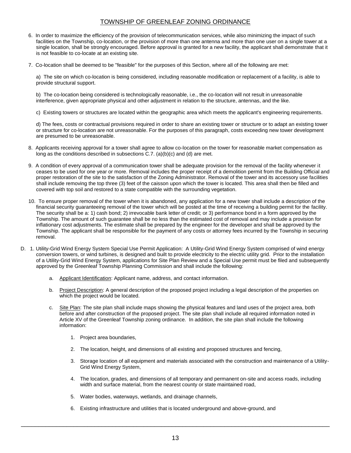- 6. In order to maximize the efficiency of the provision of telecommunication services, while also minimizing the impact of such facilities on the Township, co-location, or the provision of more than one antenna and more than one user on a single tower at a single location, shall be strongly encouraged. Before approval is granted for a new facility, the applicant shall demonstrate that it is not feasible to co-locate at an existing site.
- 7. Co-location shall be deemed to be "feasible" for the purposes of this Section, where all of the following are met:

a) The site on which co-location is being considered, including reasonable modification or replacement of a facility, is able to provide structural support.

b) The co-location being considered is technologically reasonable, i.e., the co-location will not result in unreasonable interference, given appropriate physical and other adjustment in relation to the structure, antennas, and the like.

c) Existing towers or structures are located within the geographic area which meets the applicant's engineering requirements.

d) The fees, costs or contractual provisions required in order to share an existing tower or structure or to adapt an existing tower or structure for co-location are not unreasonable. For the purposes of this paragraph, costs exceeding new tower development are presumed to be unreasonable.

- 8. Applicants receiving approval for a tower shall agree to allow co-location on the tower for reasonable market compensation as long as the conditions described in subsections C.7. (a)(b)(c) and (d) are met.
- 9. A condition of every approval of a communication tower shall be adequate provision for the removal of the facility whenever it ceases to be used for one year or more. Removal includes the proper receipt of a demolition permit from the Building Official and proper restoration of the site to the satisfaction of the Zoning Administrator. Removal of the tower and its accessory use facilities shall include removing the top three (3) feet of the caisson upon which the tower is located. This area shall then be filled and covered with top soil and restored to a state compatible with the surrounding vegetation.
- 10. To ensure proper removal of the tower when it is abandoned, any application for a new tower shall include a description of the financial security guaranteeing removal of the tower which will be posted at the time of receiving a building permit for the facility. The security shall be a: 1) cash bond; 2) irrevocable bank letter of credit; or 3) performance bond in a form approved by the Township. The amount of such guarantee shall be no less than the estimated cost of removal and may include a provision for inflationary cost adjustments. The estimate shall be prepared by the engineer for the developer and shall be approved by the Township. The applicant shall be responsible for the payment of any costs or attorney fees incurred by the Township in securing removal.
- D. 1. Utility-Grid Wind Energy System Special Use Permit Application: A Utility-Grid Wind Energy System comprised of wind energy conversion towers, or wind turbines, is designed and built to provide electricity to the electric utility grid. Prior to the installation of a Utility-Grid Wind Energy System, applications for Site Plan Review and a Special Use permit must be filed and subsequently approved by the Greenleaf Township Planning Commission and shall include the following:
	- a. Applicant Identification: Applicant name, address, and contact information.
	- b. Project Description: A general description of the proposed project including a legal description of the properties on which the project would be located.
	- c. Site Plan: The site plan shall include maps showing the physical features and land uses of the project area, both before and after construction of the proposed project. The site plan shall include all required information noted in Article XV of the Greenleaf Township zoning ordinance. In addition, the site plan shall include the following information:
		- 1. Project area boundaries,
		- 2. The location, height, and dimensions of all existing and proposed structures and fencing,
		- 3. Storage location of all equipment and materials associated with the construction and maintenance of a Utility-Grid Wind Energy System,
		- 4. The location, grades, and dimensions of all temporary and permanent on-site and access roads, including width and surface material, from the nearest county or state maintained road,
		- 5. Water bodies, waterways, wetlands, and drainage channels,
		- 6. Existing infrastructure and utilities that is located underground and above-ground, and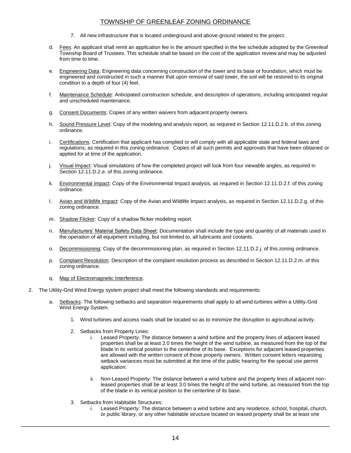- 7. All new infrastructure that is located underground and above-ground related to the project.
- d. Fees: An applicant shall remit an application fee in the amount specified in the fee schedule adopted by the Greenleaf Township Board of Trustees. This schedule shall be based on the cost of the application review and may be adjusted from time to time.
- e. Engineering Data: Engineering data concerning construction of the tower and its base or foundation, which must be engineered and constructed in such a manner that upon removal of said tower, the soil will be restored to its original condition to a depth of four (4) feet.
- f. Maintenance Schedule: Anticipated construction schedule, and description of operations, including anticipated regular and unscheduled maintenance.
- g. Consent Documents: Copies of any written waivers from adjacent property owners.
- h. Sound Pressure Level: Copy of the modeling and analysis report, as required in Section 12.11.D.2.b. of this zoning ordinance.
- i. Certifications: Certification that applicant has complied or will comply with all applicable state and federal laws and regulations, as required in this zoning ordinance. Copies of all such permits and approvals that have been obtained or applied for at time of the application.
- j. Visual Impact: Visual simulations of how the completed project will look from four viewable angles, as required in Section 12.11.D.2.e. of this zoning ordinance.
- k. Environmental Impact: Copy of the Environmental Impact analysis, as required in Section 12.11.D.2.f. of this zoning ordinance.
- l. Avian and Wildlife Impact: Copy of the Avian and Wildlife Impact analysis, as required in Section 12.11.D.2.g. of this zoning ordinance.
- m. Shadow Flicker: Copy of a shadow flicker modeling report.
- n. Manufacturers' Material Safety Data Sheet: Documentation shall include the type and quantity of all materials used in the operation of all equipment including, but not limited to, all lubricants and coolants.
- o. Decommissioning: Copy of the decommissioning plan, as required in Section 12.11.D.2.j. of this zoning ordinance.
- p. Complaint Resolution: Description of the complaint resolution process as described in Section 12.11.D.2.m. of this zoning ordinance.
- q. Map of Electromagnetic Interference.
- 2. The Utility-Grid Wind Energy system project shall meet the following standards and requirements:
	- a. Setbacks: The following setbacks and separation requirements shall apply to all wind turbines within a Utility-Grid Wind Energy System.
		- 1. Wind turbines and access roads shall be located so as to minimize the disruption to agricultural activity.
		- 2. Setbacks from Property Lines:
			- i. Leased Property: The distance between a wind turbine and the property lines of adjacent leased properties shall be at least 2.0 times the height of the wind turbine, as measured from the top of the blade in its vertical position to the centerline of its base. Exceptions for adjacent leased properties are allowed with the written consent of those property owners. Written consent letters requesting setback variances must be submitted at the time of the public hearing for the special use permit application.
			- ii. Non-Leased Property: The distance between a wind turbine and the property lines of adjacent nonleased properties shall be at least 3.0 times the height of the wind turbine, as measured from the top of the blade in its vertical position to the centerline of its base.
		- 3. Setbacks from Habitable Structures:
			- i. Leased Property: The distance between a wind turbine and any residence, school, hospital, church, or public library, or any other habitable structure located on leased property shall be at least one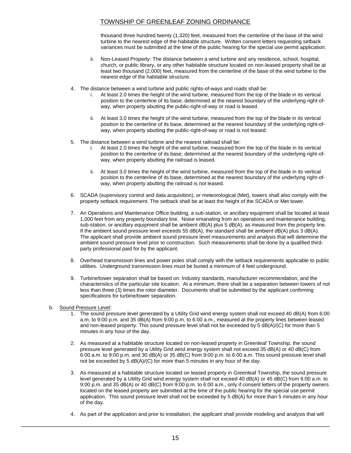thousand three hundred twenty (1,320) feet, measured from the centerline of the base of the wind turbine to the nearest edge of the habitable structure. Written consent letters requesting setback variances must be submitted at the time of the public hearing for the special use permit application.

- ii. Non-Leased Property: The distance between a wind turbine and any residence, school, hospital, church, or public library, or any other habitable structure located on non-leased property shall be at least two thousand (2,000) feet, measured from the centerline of the base of the wind turbine to the nearest edge of the habitable structure.
- 4. The distance between a wind turbine and public rights-of-ways and roads shall be:
	- i. At least 2.0 times the height of the wind turbine, measured from the top of the blade in its vertical position to the centerline of its base, determined at the nearest boundary of the underlying right-ofway, when property abutting the public-right-of-way or road is leased.
	- ii. At least 3.0 times the height of the wind turbine, measured from the top of the blade in its vertical position to the centerline of its base, determined at the nearest boundary of the underlying right-ofway, when property abutting the public-right-of-way or road is not leased.
- 5. The distance between a wind turbine and the nearest railroad shall be:
	- i. At least 2.0 times the height of the wind turbine, measured from the top of the blade in its vertical position to the centerline of its base, determined at the nearest boundary of the underlying right-ofway, when property abutting the railroad is leased.
	- ii. At least 3.0 times the height of the wind turbine, measured from the top of the blade in its vertical position to the centerline of its base, determined at the nearest boundary of the underlying right-ofway, when property abutting the railroad is not leased.
- 6. SCADA (supervisory control and data acquisition), or meteorological (Met), towers shall also comply with the property setback requirement. The setback shall be at least the height of the SCADA or Met tower.
- 7. An Operations and Maintenance Office building, a sub-station, or ancillary equipment shall be located at least 1,000 feet from any property boundary line. Noise emanating from an operations and maintenance building, sub-station, or ancillary equipment shall be ambient dB(A) plus 5 dB(A), as measured from the property line. If the ambient sound pressure level exceeds 55  $dB(A)$ , the standard shall be ambient  $dB(A)$  plus 3  $dB(A)$ . The applicant shall provide ambient sound pressure level measurements and analysis that will determine the ambient sound pressure level prior to construction. Such measurements shall be done by a qualified thirdparty professional paid for by the applicant.
- 8. Overhead transmission lines and power poles shall comply with the setback requirements applicable to public utilities. Underground transmission lines must be buried a minimum of 4 feet underground.
- 9. Turbine/tower separation shall be based on: Industry standards, manufacturer recommendation, and the characteristics of the particular site location. At a minimum, there shall be a separation between towers of not less than three (3) times the rotor diameter. Documents shall be submitted by the applicant confirming specifications for turbine/tower separation.
- b. Sound Pressure Level:
	- 1. The sound pressure level generated by a Utility Grid wind energy system shall not exceed 40 dB(A) from 6:00 a.m. to 9:00 p.m. and 35 dB(A) from 9:00 p.m. to 6:00 a.m., measured at the property lines between leased and non-leased property. This sound pressure level shall not be exceeded by 5 dB(A)/(C) for more than 5 minutes in any hour of the day.
	- 2. As measured at a habitable structure located on non-leased property in Greenleaf Township, the sound pressure level generated by a Utility Grid wind energy system shall not exceed 35 dB(A) or 40 dB(C) from 6:00 a.m. to 9:00 p.m. and 30 dB(A) or 35 dB(C) from 9:00 p.m. to 6:00 a.m. This sound pressure level shall not be exceeded by 5 dB(A)/(C) for more than 5 minutes in any hour of the day.
	- 3. As measured at a habitable structure located on leased property in Greenleaf Township, the sound pressure level generated by a Utility Grid wind energy system shall not exceed 40 dB(A) or 45 dB(C) from 6:00 a.m. to 9:00 p.m. and 35 dB(A) or 40 dB(C) from 9:00 p.m. to 6:00 a.m., only if consent letters of the property owners located on the leased property are submitted at the time of the public hearing for the special use permit application. This sound pressure level shall not be exceeded by 5 dB(A) for more than 5 minutes in any hour of the day.
	- 4. As part of the application and prior to installation, the applicant shall provide modeling and analysis that will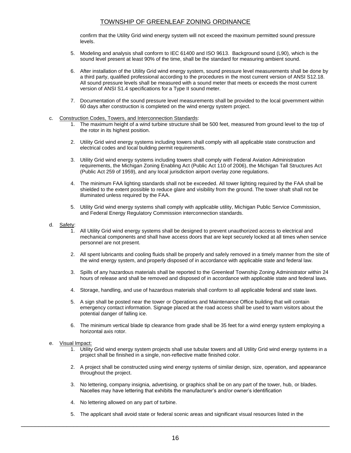confirm that the Utility Grid wind energy system will not exceed the maximum permitted sound pressure levels.

- 5. Modeling and analysis shall conform to IEC 61400 and ISO 9613. Background sound (L90), which is the sound level present at least 90% of the time, shall be the standard for measuring ambient sound.
- 6. After installation of the Utility Grid wind energy system, sound pressure level measurements shall be done by a third party, qualified professional according to the procedures in the most current version of ANSI S12.18. All sound pressure levels shall be measured with a sound meter that meets or exceeds the most current version of ANSI S1.4 specifications for a Type II sound meter.
- 7. Documentation of the sound pressure level measurements shall be provided to the local government within 60 days after construction is completed on the wind energy system project.
- c. Construction Codes, Towers, and Interconnection Standards:
	- 1. The maximum height of a wind turbine structure shall be 500 feet, measured from ground level to the top of the rotor in its highest position.
	- 2. Utility Grid wind energy systems including towers shall comply with all applicable state construction and electrical codes and local building permit requirements.
	- 3. Utility Grid wind energy systems including towers shall comply with Federal Aviation Administration requirements, the Michigan Zoning Enabling Act (Public Act 110 of 2006), the Michigan Tall Structures Act (Public Act 259 of 1959), and any local jurisdiction airport overlay zone regulations.
	- 4. The minimum FAA lighting standards shall not be exceeded. All tower lighting required by the FAA shall be shielded to the extent possible to reduce glare and visibility from the ground. The tower shaft shall not be illuminated unless required by the FAA.
	- 5. Utility Grid wind energy systems shall comply with applicable utility, Michigan Public Service Commission, and Federal Energy Regulatory Commission interconnection standards.
- d. Safety:
	- 1. All Utility Grid wind energy systems shall be designed to prevent unauthorized access to electrical and mechanical components and shall have access doors that are kept securely locked at all times when service personnel are not present.
	- 2. All spent lubricants and cooling fluids shall be properly and safely removed in a timely manner from the site of the wind energy system, and properly disposed of in accordance with applicable state and federal law.
	- 3. Spills of any hazardous materials shall be reported to the Greenleaf Township Zoning Administrator within 24 hours of release and shall be removed and disposed of in accordance with applicable state and federal laws.
	- 4. Storage, handling, and use of hazardous materials shall conform to all applicable federal and state laws.
	- 5. A sign shall be posted near the tower or Operations and Maintenance Office building that will contain emergency contact information. Signage placed at the road access shall be used to warn visitors about the potential danger of falling ice.
	- 6. The minimum vertical blade tip clearance from grade shall be 35 feet for a wind energy system employing a horizontal axis rotor.

#### e. Visual Impact:

- 1. Utility Grid wind energy system projects shall use tubular towers and all Utility Grid wind energy systems in a project shall be finished in a single, non-reflective matte finished color.
- 2. A project shall be constructed using wind energy systems of similar design, size, operation, and appearance throughout the project.
- 3. No lettering, company insignia, advertising, or graphics shall be on any part of the tower, hub, or blades. Nacelles may have lettering that exhibits the manufacturer's and/or owner's identification
- 4. No lettering allowed on any part of turbine.
- 5. The applicant shall avoid state or federal scenic areas and significant visual resources listed in the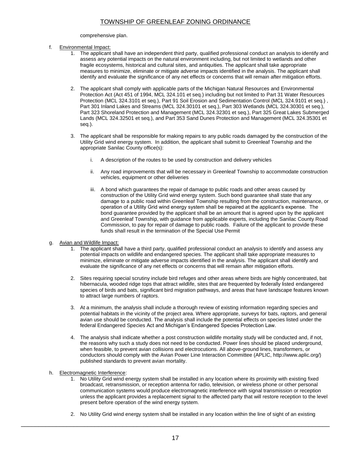#### comprehensive plan.

- f. Environmental Impact:
	- 1. The applicant shall have an independent third party, qualified professional conduct an analysis to identify and assess any potential impacts on the natural environment including, but not limited to wetlands and other fragile ecosystems, historical and cultural sites, and antiquities. The applicant shall take appropriate measures to minimize, eliminate or mitigate adverse impacts identified in the analysis. The applicant shall identify and evaluate the significance of any net effects or concerns that will remain after mitigation efforts.
	- 2. The applicant shall comply with applicable parts of the Michigan Natural Resources and Environmental Protection Act (Act 451 of 1994, MCL 324.101 et seq.) including but not limited to Part 31 Water Resources Protection (MCL 324.3101 et seq.), Part 91 Soil Erosion and Sedimentation Control (MCL 324.9101 et seq.) , Part 301 Inland Lakes and Streams (MCL 324.30101 et seq.), Part 303 Wetlands (MCL 324.30301 et seq.), Part 323 Shoreland Protection and Management (MCL 324.32301 et seq.), Part 325 Great Lakes Submerged Lands (MCL 324.32501 et seq.), and Part 353 Sand Dunes Protection and Management (MCL 324.35301 et seq.).
	- 3. The applicant shall be responsible for making repairs to any public roads damaged by the construction of the Utility Grid wind energy system. In addition, the applicant shall submit to Greenleaf Township and the appropriate Sanilac County office(s):
		- i. A description of the routes to be used by construction and delivery vehicles
		- ii. Any road improvements that will be necessary in Greenleaf Township to accommodate construction vehicles, equipment or other deliveries
		- iii. A bond which guarantees the repair of damage to public roads and other areas caused by construction of the Utility Grid wind energy system. Such bond guarantee shall state that any damage to a public road within Greenleaf Township resulting from the construction, maintenance, or operation of a Utility Grid wind energy system shall be repaired at the applicant's expense. The bond guarantee provided by the applicant shall be an amount that is agreed upon by the applicant and Greenleaf Township, with guidance from applicable experts, including the Sanilac County Road Commission, to pay for repair of damage to public roads. Failure of the applicant to provide these funds shall result in the termination of the Special Use Permit
- g. Avian and Wildlife Impact:
	- 1. The applicant shall have a third party, qualified professional conduct an analysis to identify and assess any potential impacts on wildlife and endangered species. The applicant shall take appropriate measures to minimize, eliminate or mitigate adverse impacts identified in the analysis. The applicant shall identify and evaluate the significance of any net effects or concerns that will remain after mitigation efforts.
	- 2. Sites requiring special scrutiny include bird refuges and other areas where birds are highly concentrated, bat hibernacula, wooded ridge tops that attract wildlife, sites that are frequented by federally listed endangered species of birds and bats, significant bird migration pathways, and areas that have landscape features known to attract large numbers of raptors.
	- 3. At a minimum, the analysis shall include a thorough review of existing information regarding species and potential habitats in the vicinity of the project area. Where appropriate, surveys for bats, raptors, and general avian use should be conducted. The analysis shall include the potential effects on species listed under the federal Endangered Species Act and Michigan's Endangered Species Protection Law.
	- 4. The analysis shall indicate whether a post construction wildlife mortality study will be conducted and, if not, the reasons why such a study does not need to be conducted. Power lines should be placed underground, when feasible, to prevent avian collisions and electrocutions. All above-ground lines, transformers, or conductors should comply with the Avian Power Line Interaction Committee (APLIC, http://www.aplic.org/) published standards to prevent avian mortality.
- h. Electromagnetic Interference:
	- 1. No Utility Grid wind energy system shall be installed in any location where its proximity with existing fixed broadcast, retransmission, or reception antenna for radio, television, or wireless phone or other personal communication systems would produce electromagnetic interference with signal transmission or reception unless the applicant provides a replacement signal to the affected party that will restore reception to the level present before operation of the wind energy system.
	- 2. No Utility Grid wind energy system shall be installed in any location within the line of sight of an existing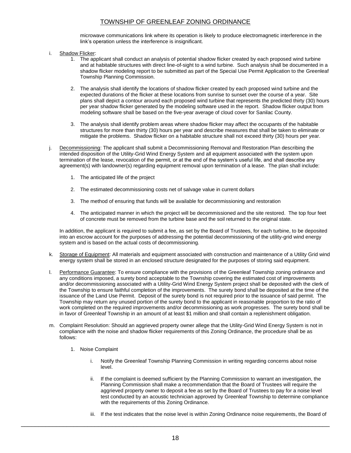microwave communications link where its operation is likely to produce electromagnetic interference in the link's operation unless the interference is insignificant.

- i. Shadow Flicker:
	- 1. The applicant shall conduct an analysis of potential shadow flicker created by each proposed wind turbine and at habitable structures with direct line-of-sight to a wind turbine. Such analysis shall be documented in a shadow flicker modeling report to be submitted as part of the Special Use Permit Application to the Greenleaf Township Planning Commission.
	- 2. The analysis shall identify the locations of shadow flicker created by each proposed wind turbine and the expected durations of the flicker at these locations from sunrise to sunset over the course of a year. Site plans shall depict a contour around each proposed wind turbine that represents the predicted thirty (30) hours per year shadow flicker generated by the modeling software used in the report. Shadow flicker output from modeling software shall be based on the five-year average of cloud cover for Sanilac County.
	- 3. The analysis shall identify problem areas where shadow flicker may affect the occupants of the habitable structures for more than thirty (30) hours per year and describe measures that shall be taken to eliminate or mitigate the problems. Shadow flicker on a habitable structure shall not exceed thirty (30) hours per year.
- j. Decommissioning: The applicant shall submit a Decommissioning Removal and Restoration Plan describing the intended disposition of the Utility-Grid Wind Energy System and all equipment associated with the system upon termination of the lease, revocation of the permit, or at the end of the system's useful life, and shall describe any agreement(s) with landowner(s) regarding equipment removal upon termination of a lease. The plan shall include:
	- 1. The anticipated life of the project
	- 2. The estimated decommissioning costs net of salvage value in current dollars
	- 3. The method of ensuring that funds will be available for decommissioning and restoration
	- 4. The anticipated manner in which the project will be decommissioned and the site restored. The top four feet of concrete must be removed from the turbine base and the soil returned to the original state.

In addition, the applicant is required to submit a fee, as set by the Board of Trustees, for each turbine, to be deposited into an escrow account for the purposes of addressing the potential decommissioning of the utility-grid wind energy system and is based on the actual costs of decommissioning.

- k. Storage of Equipment: All materials and equipment associated with construction and maintenance of a Utility Grid wind energy system shall be stored in an enclosed structure designated for the purposes of storing said equipment.
- l. Performance Guarantee: To ensure compliance with the provisions of the Greenleaf Township zoning ordinance and any conditions imposed, a surety bond acceptable to the Township covering the estimated cost of improvements and/or decommissioning associated with a Utility-Grid Wind Energy System project shall be deposited with the clerk of the Township to ensure faithful completion of the improvements. The surety bond shall be deposited at the time of the issuance of the Land Use Permit. Deposit of the surety bond is not required prior to the issuance of said permit. The Township may return any unused portion of the surety bond to the applicant in reasonable proportion to the ratio of work completed on the required improvements and/or decommissioning as work progresses. The surety bond shall be in favor of Greenleaf Township in an amount of at least \$1 million and shall contain a replenishment obligation.
- m. Complaint Resolution: Should an aggrieved property owner allege that the Utility-Grid Wind Energy System is not in compliance with the noise and shadow flicker requirements of this Zoning Ordinance, the procedure shall be as follows:
	- 1. Noise Complaint
		- i. Notify the Greenleaf Township Planning Commission in writing regarding concerns about noise level.
		- ii. If the complaint is deemed sufficient by the Planning Commission to warrant an investigation, the Planning Commission shall make a recommendation that the Board of Trustees will require the aggrieved property owner to deposit a fee as set by the Board of Trustees to pay for a noise level test conducted by an acoustic technician approved by Greenleaf Township to determine compliance with the requirements of this Zoning Ordinance.
		- iii. If the test indicates that the noise level is within Zoning Ordinance noise requirements, the Board of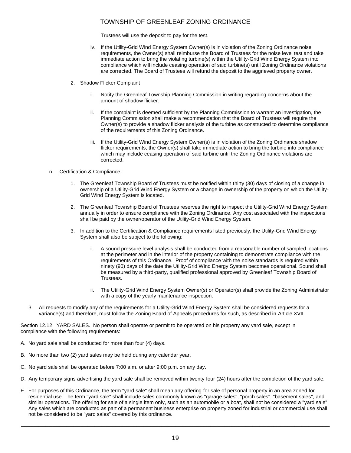Trustees will use the deposit to pay for the test.

- iv. If the Utility-Grid Wind Energy System Owner(s) is in violation of the Zoning Ordinance noise requirements, the Owner(s) shall reimburse the Board of Trustees for the noise level test and take immediate action to bring the violating turbine(s) within the Utility-Grid Wind Energy System into compliance which will include ceasing operation of said turbine(s) until Zoning Ordinance violations are corrected. The Board of Trustees will refund the deposit to the aggrieved property owner.
- 2. Shadow Flicker Complaint
	- i. Notify the Greenleaf Township Planning Commission in writing regarding concerns about the amount of shadow flicker.
	- ii. If the complaint is deemed sufficient by the Planning Commission to warrant an investigation, the Planning Commission shall make a recommendation that the Board of Trustees will require the Owner(s) to provide a shadow flicker analysis of the turbine as constructed to determine compliance of the requirements of this Zoning Ordinance.
	- iii. If the Utility-Grid Wind Energy System Owner(s) is in violation of the Zoning Ordinance shadow flicker requirements, the Owner(s) shall take immediate action to bring the turbine into compliance which may include ceasing operation of said turbine until the Zoning Ordinance violations are corrected.

#### n. Certification & Compliance:

- 1. The Greenleaf Township Board of Trustees must be notified within thirty (30) days of closing of a change in ownership of a Utility-Grid Wind Energy System or a change in ownership of the property on which the Utility-Grid Wind Energy System is located.
- 2. The Greenleaf Township Board of Trustees reserves the right to inspect the Utility-Grid Wind Energy System annually in order to ensure compliance with the Zoning Ordinance. Any cost associated with the inspections shall be paid by the owner/operator of the Utility-Grid Wind Energy System.
- 3. In addition to the Certification & Compliance requirements listed previously, the Utility-Grid Wind Energy System shall also be subject to the following:
	- i. A sound pressure level analysis shall be conducted from a reasonable number of sampled locations at the perimeter and in the interior of the property containing to demonstrate compliance with the requirements of this Ordinance. Proof of compliance with the noise standards is required within ninety (90) days of the date the Utility-Grid Wind Energy System becomes operational. Sound shall be measured by a third-party, qualified professional approved by Greenleaf Township Board of Trustees.
	- ii. The Utility-Grid Wind Energy System Owner(s) or Operator(s) shall provide the Zoning Administrator with a copy of the yearly maintenance inspection.
- 3. All requests to modify any of the requirements for a Utility-Grid Wind Energy System shall be considered requests for a variance(s) and therefore, must follow the Zoning Board of Appeals procedures for such, as described in Article XVII.

Section 12.12. YARD SALES. No person shall operate or permit to be operated on his property any yard sale, except in compliance with the following requirements:

- A. No yard sale shall be conducted for more than four (4) days.
- B. No more than two (2) yard sales may be held during any calendar year.
- C. No yard sale shall be operated before 7:00 a.m. or after 9:00 p.m. on any day.
- D. Any temporary signs advertising the yard sale shall be removed within twenty four (24) hours after the completion of the yard sale.
- E. For purposes of this Ordinance, the term "yard sale" shall mean any offering for sale of personal property in an area zoned for residential use. The term "yard sale" shall include sales commonly known as "garage sales", "porch sales", "basement sales", and similar operations. The offering for sale of a single item only, such as an automobile or a boat, shall not be considered a ''yard sale". Any sales which are conducted as part of a permanent business enterprise on property zoned for industrial or commercial use shall not be considered to be "yard sales" covered by this ordinance.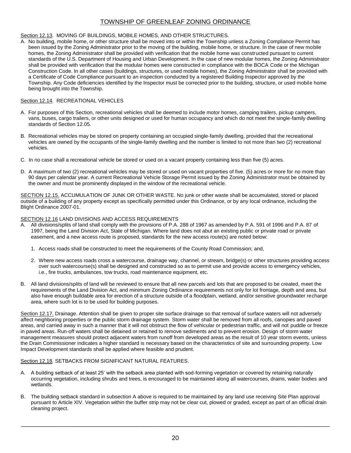#### Section 12.13. MOVING OF BUILDINGS, MOBILE HOMES, AND OTHER STRUCTURES.

A. No building, mobile home, or other structure shall be moved into or within the Township unless a Zoning Compliance Permit has been issued by the Zoning Administrator prior to the moving of the building, mobile home, or structure. In the case of new mobile homes, the Zoning Administrator shall be provided with verification that the mobile home was constructed pursuant to current standards of the U.S. Department of Housing and Urban Development. In the case of new modular homes, the Zoning Administrator shall be provided with verification that the modular homes were constructed in compliance with the BOCA Code or the Michigan Construction Code. In all other cases (buildings, structures, or used mobile homes), the Zoning Administrator shall be provided with a Certificate of Code Compliance pursuant to an inspection conducted by a registered Building Inspector approved by the Township. Any Code deficiencies identified by the Inspector must be corrected prior to the building, structure, or used mobile home being brought into the Township.

## Section 12.14. RECREATIONAL VEHICLES

- A. For purposes of this Section, recreational vehicles shall be deemed to include motor homes, camping trailers, pickup campers, vans, buses, cargo trailers, or other units designed or used for human occupancy and which do not meet the single-family dwelling standards of Section 12.05.
- B. Recreational vehicles may be stored on property containing an occupied single-family dwelling, provided that the recreational vehicles are owned by the occupants of the single-family dwelling and the number is limited to not more than two (2) recreational vehicles.
- C. In no case shall a recreational vehicle be stored or used on a vacant property containing less than five (5) acres.
- D. A maximum of two (2) recreational vehicles may be stored or used on vacant properties of five. (5) acres or more for no more than 90 days per calendar year. A current Recreational Vehicle Storage Permit issued by the Zoning Administrator must be obtained by the owner and must be prominently displayed in the window of the recreational vehicle.

SECTION 12.15. ACCUMULATION OF JUNK OR OTHER WASTE. No junk or other waste shall be accumulated, stored or placed outside of a building of any property except as specifically permitted under this Ordinance, or by any local ordinance, including the Blight Ordinance 2007-01.

## SECTION 12.16 LAND DIVISIONS AND ACCESS REQUIREMENTS

- A. All divisions/splits of land shall comply with the provisions of P.A. 288 of 1967 as amended by P.A. 591 of 1996 and P.A. 87 of 1997, being the Land Division Act, State of Michigan. Where land does not abut an existing public or private road or private easement, and a new access route is proposed, standards for the new access route(s) are noted below:
	- 1. Access roads shall be constructed to meet the requirements of the County Road Commission; and,
	- 2. Where new access roads cross a watercourse, drainage way, channel, or stream, bridge(s) or other structures providing access over such watercourse(s) shall be designed and constructed so as to permit use and provide access to emergency vehicles, i.e., fire trucks, ambulances, tow trucks, road maintenance equipment, etc.
- B. All land divisions/splits of land will be reviewed to ensure that all new parcels and lots that are proposed to be created, meet the requirements of the Land Division Act, and minimum Zoning Ordinance requirements not only for lot frontage, depth and area, but also have enough buildable area for erection of a structure outside of a floodplain, wetland, and/or sensitive groundwater recharge area, where such lot is to be used for building purposes.

Section 12.17. Drainage. Attention shall be given to proper site surface drainage so that removal of surface waters will not adversely affect neighboring properties or the public storm drainage system. Storm water shall be removed from all roofs, canopies and paved areas, and carried away in such a manner that it will not obstruct the flow of vehicular or pedestrian traffic, and will not puddle or freeze in paved areas. Run-off waters shall be detained or retained to remove sediments and to prevent erosion. Design of storm water management measures should protect adjacent waters from runoff from developed areas as the result of 10 year storm events, unless the Drain Commissioner indicates a higher standard is necessary based on the characteristics of site and surrounding property. Low Impact Development standards shall be applied where feasible and prudent.

## Section 12.18*.* SETBACKS FROM SIGNIFICANT NATURAL FEATURES.

- A. A building setback of at least 25' with the setback area planted with sod-forming vegetation or covered by retaining naturally occurring vegetation, including shrubs and trees, is encouraged to be maintained along all watercourses, drains, water bodies and wetlands.
- B. The building setback standard in subsection A above is required to be maintained by any land use receiving Site Plan approval pursuant to Article XIV. Vegetation within the buffer strip may not be clear cut, plowed or graded, except as part of an official drain cleaning project.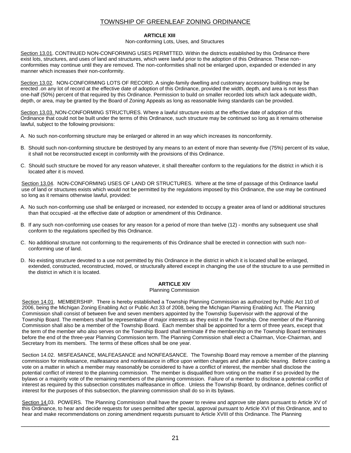#### **ARTICLE XIII**

#### Non-conforming Lots, Uses, and Structures

Section 13.01. CONTINUED NON-CONFORMING USES PERMITTED. Within the districts established by this Ordinance there exist lots, structures, and uses of land and structures, which were lawful prior to the adoption of this Ordinance. These nonconformities may continue until they are removed. The non-conformities shall not be enlarged upon, expanded or extended in any manner which increases their non-conformity.

Section 13.02. NON-CONFORMING LOTS OF RECORD. A single-family dwelling and customary accessory buildings may be erected .on any lot of record at the effective date of adoption of this Ordinance, provided the width, depth, and area is not less than one-half (50%) percent of that required by this Ordinance. Permission to build on smaller recorded lots which lack adequate width, depth, or area, may be granted by the Board of Zoning Appeals as long as reasonable living standards can be provided.

Section 13.03. NON-CONFORMING STRUCTURES. Where a lawful structure exists at the effective date of adoption of this Ordinance that could not be built under the terms of this Ordinance, such structure may be continued so long as it remains otherwise lawful, subject to the following provisions:

- A. No such non-conforming structure may be enlarged or altered in an way which increases its nonconformity.
- B. Should such non-conforming structure be destroyed by any means to an extent of more than seventy-five (75%) percent of its value, it shall not be reconstructed except in conformity with the provisions of this Ordinance.
- C. Should such structure be moved for any reason whatever, it shall thereafter conform to the regulations for the district in which it is located after it is moved.

Section 13.04. NON-CONFORMING USES OF LAND OR STRUCTURES. Where at the time of passage of this Ordinance lawful use of land or structures exists which would not be permitted by the regulations imposed by this Ordinance, the use may be continued so long as it remains otherwise lawful, provided:

- A. No such non-conforming use shall be enlarged or increased, nor extended to occupy a greater area of land or additional structures than that occupied -at the effective date of adoption or amendment of this Ordinance.
- B. If any such non-conforming use ceases for any reason for a period of more than twelve (12) months any subsequent use shall conform to the regulations specified by this Ordinance.
- C. No additional structure not conforming to the requirements of this Ordinance shall be erected in connection with such nonconforming use of land.
- D. No existing structure devoted to a use not permitted by this Ordinance in the district in which it is located shall be enlarged, extended, constructed, reconstructed, moved, or structurally altered except in changing the use of the structure to a use permitted in the district in which it is located.

## **ARTICLE XIV**

#### Planning Commission

Section 14.01. MEMBERSHIP. There is hereby established a Township Planning Commission as authorized by Public Act 110 of 2006, being the Michigan Zoning Enabling Act or Public Act 33 of 2008, being the Michigan Planning Enabling Act. The Planning Commission shall consist of between five and seven members appointed by the Township Supervisor with the approval of the Township Board. The members shall be representative of major interests as they exist in the Township. One member of the Planning Commission shall also be a member of the Township Board. Each member shall be appointed for a term of three years, except that the term of the member who also serves on the Township Board shall terminate if the membership on the Township Board terminates before the end of the three-year Planning Commission term. The Planning Commission shall elect a Chairman, Vice-Chairman, and Secretary from its members. The terms of these offices shall be one year.

Section 14.02. MISFEASANCE, MALFEASANCE and NONFEASANCE. The Township Board may remove a member of the planning commission for misfeasance, malfeasance and nonfeasance in office upon written charges and after a public hearing. Before casting a vote on a matter in which a member may reasonably be considered to have a conflict of interest, the member shall disclose the potential conflict of interest to the planning commission. The member is disqualified from voting on the matter if so provided by the bylaws or a majority vote of the remaining members of the planning commission. Failure of a member to disclose a potential conflict of interest as required by this subsection constitutes malfeasance in office. Unless the Township Board, by ordinance, defines conflict of interest for the purposes of this subsection, the planning commission shall do so in its bylaws.

Section 14.03. POWERS. The Planning Commission shall have the power to review and approve site plans pursuant to Article XV of this Ordinance, to hear and decide requests for uses permitted after special, approval pursuant to Article XVI of this Ordinance, and to hear and make recommendations on zoning amendment requests pursuant to Article XVIII of this Ordinance. The Planning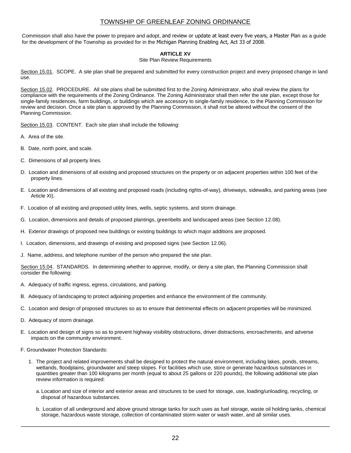Commission shall also have the power to prepare and adopt, and review or update at least every five years, a Master Plan as a guide for the development of the Township as provided for in the Michigan Planning Enabling Act, Act 33 of 2008.

## **ARTICLE XV**

#### Site Plan Review Requirements

Section 15.01. SCOPE. A site plan shall be prepared and submitted for every construction project and every proposed change in land use.

Section 15.02. PROCEDURE. All site plans shall be submitted first to the Zoning Administrator, who shall review the plans for compliance with the requirements of the Zoning Ordinance. The Zoning Administrator shall then refer the site plan, except those for single-family residences, farm buildings, or buildings which are accessory to single-family residence, to the Planning Commission for review and decision. Once a site plan is approved by the Planning Commission, it shall not be altered without the consent of the Planning Commission.

Section 15.03. CONTENT. Each site plan shall include the following:

- A. Area of the site.
- B. Date, north point, and scale.
- C. Dimensions of all property lines.
- D. Location and dimensions of all existing and proposed structures on the property or on adjacent properties within 100 feet of the property lines.
- E. Location and dimensions of all existing and proposed roads (including rights-of-way), driveways, sidewalks, and parking areas (see Article XI).
- F. Location of all existing and proposed utility lines, wells, septic systems, and storm drainage.
- G. Location, dimensions and details of proposed plantings, greenbelts and landscaped areas (see Section 12.08).
- H. Exterior drawings of proposed new buildings or existing buildings to which major additions are proposed.
- I. Location, dimensions, and drawings of existing and proposed signs (see Section 12.06).
- J. Name, address, and telephone number of the person who prepared the site plan.

Section 15.04. STANDARDS. In determining whether to approve, modify, or deny a site plan, the Planning Commission shall consider the following:

- A. Adequacy of traffic ingress, egress, circulations, and parking.
- B. Adequacy of landscaping to protect adjoining properties and enhance the environment of the community.
- C. Location and design of proposed structures so as to ensure that detrimental effects on adjacent properties will be minimized.
- D. Adequacy of storm drainage.
- E. Location and design of signs so as to prevent highway visibility obstructions, driver distractions, encroachments, and adverse impacts on the community environment.
- F. Groundwater Protection Standards:
	- 1. The project and related improvements shall be designed to protect the natural environment, including lakes, ponds, streams, wetlands, floodplains, groundwater and steep slopes. For facilities which use, store or generate hazardous substances in quantities greater than 100 kilograms per month (equal to about 25 gallons or 220 pounds), the following additional site plan review information is required:
		- a. Location and size of interior and exterior areas and structures to be used for storage, use, loading/unloading, recycling, or disposal of hazardous substances.
		- b. Location of all underground and above ground storage tanks for such uses as fuel storage, waste oil holding tanks, chemical storage, hazardous waste storage, collection of contaminated storm water or wash water, and all similar uses.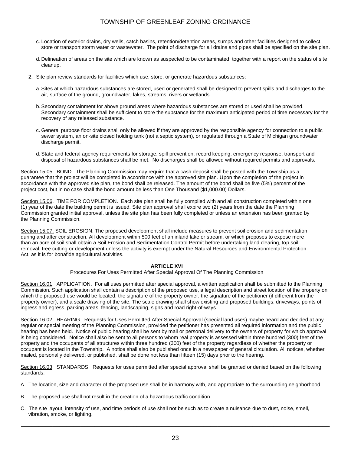- c. Location of exterior drains, dry wells, catch basins, retention/detention areas, sumps and other facilities designed to collect, store or transport storm water or wastewater. The point of discharge for all drains and pipes shall be specified on the site plan.
- d. Delineation of areas on the site which are known as suspected to be contaminated, together with a report on the status of site cleanup.
- 2. Site plan review standards for facilities which use, store, or generate hazardous substances:
	- a.Sites at which hazardous substances are stored, used or generated shall be designed to prevent spills and discharges to the air, surface of the ground, groundwater, lakes, streams, rivers or wetlands.
	- b.Secondary containment for above ground areas where hazardous substances are stored or used shall be provided. Secondary containment shall be sufficient to store the substance for the maximum anticipated period of time necessary for the recovery of any released substance.
	- c. General purpose floor drains shall only be allowed if they are approved by the responsible agency for connection to a public sewer system, an on-site closed holding tank (not a septic system), or regulated through a State of Michigan groundwater discharge permit.
	- d.State and federal agency requirements for storage, spill prevention, record keeping, emergency response, transport and disposal of hazardous substances shall be met. No discharges shall be allowed without required permits and approvals.

Section 15.05. BOND. The Planning Commission may require that a cash deposit shall be posted with the Township as a guarantee that the project will be completed in accordance with the approved site plan. Upon the completion of the project in accordance with the approved site plan, the bond shall be released. The amount of the bond shall be five (5%) percent of the project cost, but in no case shall the bond amount be less than One Thousand (\$1,000.00) Dollars.

Section 15.06. TIME FOR COMPLETION. Each site plan shall be fully complied with and all construction completed within one (1) year of the date the building permit is issued. Site plan approval shall expire two (2) years from the date the Planning Commission granted initial approval, unless the site plan has been fully completed or unless an extension has been granted by the Planning Commission.

Section 15.07. SOIL EROSION. The proposed development shall include measures to prevent soil erosion and sedimentation during and after construction. All development within 500 feet of an inland lake or stream, or which proposes to expose more than an acre of soil shall obtain a Soil Erosion and Sedimentation Control Permit before undertaking land clearing, top soil removal, tree cutting or development unless the activity is exempt under the Natural Resources and Environmental Protection Act, as it is for bonafide agricultural activities.

## **ARTICLE XVI**

Procedures For Uses Permitted After Special Approval Of The Planning Commission

Section 16.01. APPLICATION. For all uses permitted after special approval, a written application shall be submitted to the Planning Commission. Such application shall contain a description of the proposed use, a legal description and street location of the property on which the proposed use would be located, the signature of the property owner, the signature of the petitioner (if different from the property owner), and a scale drawing of the site. The scale drawing shall show existing and proposed buildings, driveways, points of ingress and egress, parking areas, fencing, landscaping, signs and road right-of-ways.

Section 16.02. HEARING. Requests for Uses Permitted After Special Approval (special land uses) maybe heard and decided at any regular or special meeting of the Planning Commission, provided the petitioner has presented all required information and the public hearing has been held. Notice of public hearing shall be sent by mail or personal delivery to the owners of property for which approval is being considered. Notice shall also be sent to all persons to whom real property is assessed within three hundred (300) feet of the property and the occupants of all structures within three hundred (300) feet of the property regardless of whether the property or occupant is located in the Township. A notice shall also be published once in a newspaper of general circulation. All notices, whether mailed, personally delivered, or published, shall be done not less than fifteen (15) days prior to the hearing.

Section 16.03. STANDARDS. Requests for uses permitted after special approval shall be granted or denied based on the following standards:

- A. The location, size and character of the proposed use shall be in harmony with, and appropriate to the surrounding neighborhood.
- B. The proposed use shall not result in the creation of a hazardous traffic condition.
- C. The site layout, intensity of use, and time periods of use shall not be such as to create a nuisance due to dust, noise, smell, vibration, smoke, or lighting.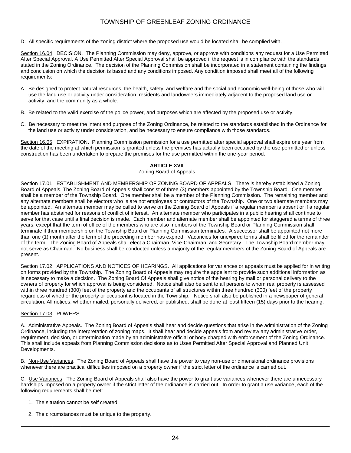D. All specific requirements of the zoning district where the proposed use would be located shall be complied with.

Section 16.04. DECISION. The Planning Commission may deny, approve, or approve with conditions any request for a Use Permitted After Special Approval. A Use Permitted After Special Approval shall be approved if the request is in compliance with the standards stated in the Zoning Ordinance. The decision of the Planning Commission shall be incorporated in a statement containing the findings and conclusion on which the decision is based and any conditions imposed. Any condition imposed shall meet all of the following requirements:

- A. Be designed to protect natural resources, the health, safety, and welfare and the social and economic well-being of those who will use the land use or activity under consideration, residents and landowners immediately adjacent to the proposed land use or activity, and the community as a whole.
- B. Be related to the valid exercise of the police power, and purposes which are affected by the proposed use or activity.
- C. Be necessary to meet the intent and purpose of the Zoning Ordinance, be related to the standards established in the Ordinance for the land use or activity under consideration, and be necessary to ensure compliance with those standards.

Section 16.05. EXPIRATION. Planning Commission permission for a use permitted after special approval shall expire one year from the date of the meeting at which permission is granted unless the premises has actually been occupied by the use permitted or unless construction has been undertaken to prepare the premises for the use permitted within the one-year period.

#### **ARTICLE XVII**

#### Zoning Board of Appeals

Section 17.01. ESTABLISHMENT AND MEMBERSHIP OF ZONING BOARD OF APPEALS. There is hereby established a Zoning Board of Appeals. The Zoning Board of Appeals shall consist of three (3) members appointed by the Township Board. One member shall be a member of the Township Board. One member shall be a member of the Planning Commission. The remaining member and any alternate members shall be electors who is are not employees or contractors of the Township. One or two alternate members may be appointed. An alternate member may be called to serve on the Zoning Board of Appeals if a regular member is absent or if a regular member has abstained for reasons of conflict of interest. An alternate member who participates in a public hearing shall continue to serve for that case until a final decision is made. Each member and alternate member shall be appointed for staggered a terms of three years, except that the term of office of the members who are also members of the Township Board or Planning Commission shall terminate if their membership on the Township Board or Planning Commission terminates. A successor shall be appointed not more than one (1) month after the term of the preceding member has expired. Vacancies for unexpired terms shall be filled for the remainder of the term. The Zoning Board of Appeals shall elect a Chairman, Vice-Chairman, and Secretary. The Township Board member may not serve as Chairman. No business shall be conducted unless a majority of the regular members of the Zoning Board of Appeals are present.

Section 17.02. APPLICATIONS AND NOTICES OF HEARINGS. All applications for variances or appeals must be applied for in writing on forms provided by the Township. The Zoning Board of Appeals may require the appellant to provide such additional information as is necessary to make a decision. The Zoning Board Of Appeals shall give notice of the hearing by mail or personal delivery to the owners of property for which approval is being considered. Notice shall also be sent to all persons to whom real property is assessed within three hundred (300) feet of the property and the occupants of all structures within three hundred (300) feet of the property regardless of whether the property or occupant is located in the Township. Notice shall also be published in a newspaper of general circulation. All notices, whether mailed, personally delivered, or published, shall be done at least fifteen (15) days prior to the hearing.

#### Section 17.03. POWERS.

A. Administrative Appeals. The Zoning Board of Appeals shall hear and decide questions that arise in the administration of the Zoning Ordinance, including the interpretation of zoning maps. It shall hear and decide appeals from and review any administrative order, requirement, decision, or determination made by an administrative official or body charged with enforcement of the Zoning Ordinance. This shall include appeals from Planning Commission decisions as to Uses Permitted After Special Approval and Planned Unit Developments.

B. Non-Use Variances. The Zoning Board of Appeals shall have the power to vary non-use or dimensional ordinance provisions whenever there are practical difficulties imposed on a property owner if the strict letter of the ordinance is carried out.

C. Use Variances. The Zoning Board of Appeals shall also have the power to grant use variances whenever there are unnecessary hardships imposed on a property owner if the strict letter of the ordinance is carried out. In order to grant a use variance, each of the following requirements shall be met:

- 1. The situation cannot be self created.
- 2. The circumstances must be unique to the property.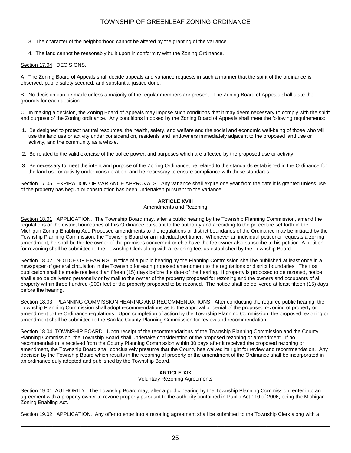- 3. The character of the neighborhood cannot be altered by the granting of the variance.
- 4. The land cannot be reasonably built upon in conformity with the Zoning Ordinance.

#### Section 17.04. DECISIONS.

A. The Zoning Board of Appeals shall decide appeals and variance requests in such a manner that the spirit of the ordinance is observed, public safety secured, and substantial justice done.

B. No decision can be made unless a majority of the regular members are present. The Zoning Board of Appeals shall state the grounds for each decision.

C. In making a decision, the Zoning Board of Appeals may impose such conditions that it may deem necessary to comply with the spirit and purpose of the Zoning ordinance. Any conditions imposed by the Zoning Board of Appeals shall meet the following requirements:

- 1. Be designed to protect natural resources, the health, safety, and welfare and the social and economic well-being of those who will use the land use or activity under consideration, residents and landowners immediately adjacent to the proposed land use or activity, and the community as a whole.
- 2. Be related to the valid exercise of the police power, and purposes which are affected by the proposed use or activity.
- 3. Be necessary to meet the intent and purpose of the Zoning Ordinance, be related to the standards established in the Ordinance for the land use or activity under consideration, and be necessary to ensure compliance with those standards.

Section 17.05. EXPIRATION OF VARIANCE APPROVALS. Any variance shall expire one year from the date it is granted unless use of the property has begun or construction has been undertaken pursuant to the variance.

#### **ARTICLE XVIII**

Amendments and Rezoning

Section 18.01. APPLICATION. The Township Board may, after a public hearing by the Township Planning Commission, amend the regulations or the district boundaries of this Ordinance pursuant to the authority and according to the procedure set forth in the Michigan Zoning Enabling Act. Proposed amendments to the regulations or district boundaries of the Ordinance may be initiated by the Township Planning Commission, the Township Board or an individual petitioner. Whenever an individual petitioner requests a zoning amendment, he shall be the fee owner of the premises concerned or else have the fee owner also subscribe to his petition. A petition for rezoning shall be submitted to the Township Clerk along with a rezoning fee, as established by the Township Board.

Section 18.02. NOTICE OF HEARING. Notice of a public hearing by the Planning Commission shall be published at least once in a newspaper of general circulation in the Township for each proposed amendment to the regulations or district boundaries. The first publication shall be made not less than fifteen (15) days before the date of the hearing. If property is proposed to be rezoned, notice shall also be delivered personally or by mail to the owner of the property proposed for rezoning and the owners and occupants of all property within three hundred (300) feet of the property proposed to be rezoned. The notice shall be delivered at least fifteen (15) days before the hearing.

Section 18.03. PLANNING COMMISSION HEARING AND RECOMMENDATIONS. After conducting the required public hearing, the Township Planning Commission shall adopt recommendations as to the approval or denial of the proposed rezoning of property or amendment to the Ordinance regulations. Upon completion of action by the Township Planning Commission, the proposed rezoning or amendment shall be submitted to the Sanilac County Planning Commission for review and recommendation

Section 18.04. TOWNSHIP BOARD. Upon receipt of the recommendations of the Township Planning Commission and the County Planning Commission, the Township Board shall undertake consideration of the proposed rezoning or amendment. If no recommendation is received from the County Planning Commission within 30 days after it received the proposed rezoning or amendment, the Township Board shall conclusively presume that the County has waived its right for review and recommendation. Any decision by the Township Board which results in the rezoning of property or the amendment of the Ordinance shall be incorporated in an ordinance duly adopted and published by the Township Board.

## **ARTICLE XIX**

Voluntary Rezoning Agreements

Section 19.01. AUTHORITY. The Township Board may, after a public hearing by the Township Planning Commission, enter into an agreement with a property owner to rezone property pursuant to the authority contained in Public Act 110 of 2006, being the Michigan Zoning Enabling Act.

Section 19.02. APPLICATION. Any offer to enter into a rezoning agreement shall be submitted to the Township Clerk along with a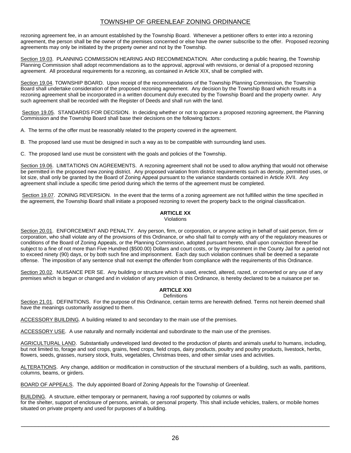rezoning agreement fee, in an amount established by the Township Board. Whenever a petitioner offers to enter into a rezoning agreement, the person shall be the owner of the premises concerned or else have the owner subscribe to the offer. Proposed rezoning agreements may only be initiated by the property owner and not by the Township.

Section 19.03. PLANNING COMMISSION HEARING AND RECOMMENDATION. After conducting a public hearing, the Township Planning Commission shall adopt recommendations as to the approval, approval with revisions, or denial of a proposed rezoning agreement. All procedural requirements for a rezoning, as contained in Article XIX, shall be complied with.

Section 19.04. TOWNSHIP BOARD. Upon receipt of the recommendations of the Township Planning Commission, the Township Board shall undertake consideration of the proposed rezoning agreement. Any decision by the Township Board which results in a rezoning agreement shall be incorporated in a written document duly executed by the Township Board and the property owner. Any such agreement shall be recorded with the Register of Deeds and shall run with the land.

Section 19.05. STANDARDS FOR DECISION. In deciding whether or not to approve a proposed rezoning agreement, the Planning Commission and the Township Board shall base their decisions on the following factors:

A. The terms of the offer must be reasonably related to the property covered in the agreement.

B. The proposed land use must be designed in such a way as to be compatible with surrounding land uses.

C. The proposed land use must be consistent with the goals and policies of the Township.

Section 19.06. LIMITATIONS ON AGREEMENTS. A rezoning agreement shall not be used to allow anything that would not otherwise be permitted in the proposed new zoning district. Any proposed variation from district requirements such as density, permitted uses, or lot size, shall only be granted by the Board of Zoning Appeal pursuant to the variance standards contained in Article XVII. Any agreement shall include a specific time period during which the terms of the agreement must be completed.

Section 19.07. ZONING REVERSION. In the event that the terms of a zoning agreement are not fulfilled within the time specified in the agreement, the Township Board shall initiate a proposed rezoning to revert the property back to the original classification.

## **ARTICLE XX**

Violations

Section 20.01. ENFORCEMENT AND PENALTY. Any person, firm, or corporation, or anyone acting in behalf of said person, firm or corporation, who shall violate any of the provisions of this Ordinance, or who shall fail to comply with any of the regulatory measures or conditions of the Board of Zoning Appeals, or the Planning Commission, adopted pursuant hereto, shall upon conviction thereof be subject to a fine of not more than Five Hundred (\$500.00) Dollars and court costs, or by imprisonment in the County Jail for a period not to exceed ninety (90) days, or by both such fine and imprisonment. Each day such violation continues shall be deemed a separate offense. The imposition of any sentence shall not exempt the offender from compliance with the requirements of this Ordinance.

Section 20.02. NUISANCE PER SE. Any building or structure which is used, erected, altered, razed, or converted or any use of any premises which is begun or changed and in violation of any provision of this Ordinance, is hereby declared to be a nuisance per se.

## **ARTICLE XXI**

## **Definitions**

Section 21.01. DEFINITIONS. For the purpose of this Ordinance, certain terms are herewith defined. Terms not herein deemed shall have the meanings customarily assigned to them.

ACCESSORY BUILDING. A building related to and secondary to the main use of the premises.

ACCESSORY USE. A use naturally and normally incidental and subordinate to the main use of the premises.

AGRICULTURAL LAND. Substantially undeveloped land devoted to the production of plants and animals useful to humans, including, but not limited to, forage and sod crops, grains, feed crops, field crops, dairy products, poultry and poultry products, livestock, herbs, flowers, seeds, grasses, nursery stock, fruits, vegetables, Christmas trees, and other similar uses and activities.

ALTERATIONS. Any change, addition or modification in construction of the structural members of a building, such as walls, partitions, columns, beams, or girders.

BOARD OF APPEALS. The duly appointed Board of Zoning Appeals for the Township of Greenleaf.

BUILDING. A structure, either temporary or permanent, having a roof supported by columns or walls for the shelter, support of enclosure of persons, animals, or personal property. This shall include vehicles, trailers, or mobile homes situated on private property and used for purposes of a building.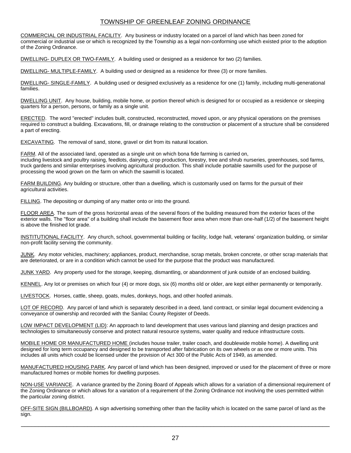COMMERCIAL OR INDUSTRIAL FACILITY. Any business or industry located on a parcel of land which has been zoned for commercial or industrial use or which is recognized by the Township as a legal non-conforming use which existed prior to the adoption of the Zoning Ordinance.

DWELLING- DUPLEX OR TWO-FAMILY. A building used or designed as a residence for two (2) families.

DWELLING- MULTIPLE-FAMILY. A building used or designed as a residence for three (3) or more families.

DWELLING- SINGLE-FAMILY. A building used or designed exclusively as a residence for one (1) family, including multi-generational families.

DWELLING UNIT. Any house, building, mobile home, or portion thereof which is designed for or occupied as a residence or sleeping quarters for a person, persons, or family as a single unit.

ERECTED. The word "erected" includes built, constructed, reconstructed, moved upon, or any physical operations on the premises required to construct a building. Excavations, fill, or drainage relating to the construction or placement of a structure shall be considered a part of erecting.

EXCAVATING. The removal of sand, stone, gravel or dirt from its natural location.

FARM. All of the associated land, operated as a single unit on which bona fide farming is carried on, including livestock and poultry raising, feedlots, dairying, crop production, forestry, tree and shrub nurseries, greenhouses, sod farms, truck gardens and similar enterprises involving agricultural production. This shall include portable sawmills used for the purpose of processing the wood grown on the farm on which the sawmill is located.

FARM BUILDING. Any building or structure, other than a dwelling, which is customarily used on farms for the pursuit of their agricultural activities.

FILLING. The depositing or dumping of any matter onto or into the ground.

FLOOR AREA. The sum of the gross horizontal areas of the several floors of the building measured from the exterior faces of the exterior walls. The "floor area" of a building shall include the basement floor area when more than one-half (1/2) of the basement height is above the finished lot grade.

INSTITUTIONAL FACILITY. Any church, school, governmental building or facility, lodge hall, veterans' organization building, or similar non-profit facility serving the community.

JUNK. Any motor vehicles, machinery; appliances, product, merchandise, scrap metals, broken concrete, or other scrap materials that are deteriorated, or are in a condition which cannot be used for the purpose that the product was manufactured.

JUNK YARD. Any property used for the storage, keeping, dismantling, or abandonment of junk outside of an enclosed building.

KENNEL. Any lot or premises on which four (4) or more dogs, six (6) months old or older, are kept either permanently or temporarily.

LIVESTOCK. Horses, cattle, sheep, goats, mules, donkeys, hogs, and other hoofed animals.

LOT OF RECORD. Any parcel of land which is separately described in a deed, land contract, or similar legal document evidencing a conveyance of ownership and recorded with the Sanilac County Register of Deeds.

LOW IMPACT DEVELOPMENT (LID): An approach to land development that uses various land planning and design practices and technologies to simultaneously conserve and protect natural resource systems, water quality and reduce infrastructure costs.

MOBILE HOME OR MANUFACTURED HOME (includes house trailer, trailer coach, and doublewide mobile home). A dwelling unit designed for long term occupancy and designed to be transported after fabrication on its own wheels or as one or more units. This includes all units which could be licensed under the provision of Act 300 of the Public Acts of 1949, as amended.

MANUFACTURED HOUSING PARK. Any parcel of land which has been designed, improved or used for the placement of three or more manufactured homes or mobile homes for dwelling purposes.

NON-USE VARIANCE. A variance granted by the Zoning Board of Appeals which allows for a variation of a dimensional requirement of the Zoning Ordinance or which allows for a variation of a requirement of the Zoning Ordinance not involving the uses permitted within the particular zoning district.

OFF-SITE SIGN (BILLBOARD). A sign advertising something other than the facility which is located on the same parcel of land as the sign.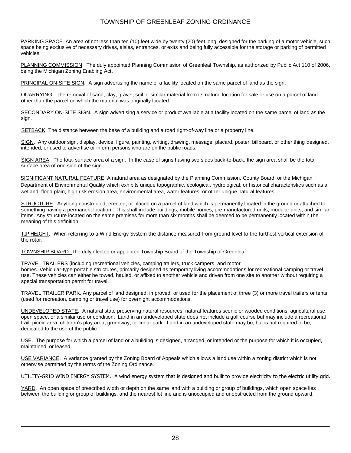PARKING SPACE. An area of not less than ten (10) feet wide by twenty (20) feet long, designed for the parking of a motor vehicle, such space being exclusive of necessary drives, aisles, entrances, or exits and being fully accessible for the storage or parking of permitted vehicles.

PLANNING COMMISSION. The duly appointed Planning Commission of Greenleaf Township, as authorized by Public Act 110 of 2006, being the Michigan Zoning Enabling Act.

PRINCIPAL ON-SITE SIGN. A sign advertising the name of a facility located on the same parcel of land as the sign.

OUARRYING. The removal of sand, clay, gravel, soil or similar material from its natural location for sale or use on a parcel of land other than the parcel on which the material was originally located.

SECONDARY ON-SITE SIGN. A sign advertising a service or product available at a facility located on the same parcel of land as the sign.

SETBACK. The distance between the base of a building and a road right-of-way line or a property line.

SIGN. Any outdoor sign, display, device, figure, painting, writing, drawing, message, placard, poster, billboard, or other thing designed, intended, or used to advertise or inform persons who are on the public roads.

SIGN AREA. The total surface area of a sign. In the case of signs having two sides back-to-back, the sign area shall be the total surface area of one side of the sign.

SIGNIFICANT NATURAL FEATURE: A natural area as designated by the Planning Commission, County Board, or the Michigan Department of Environmental Quality which exhibits unique topographic, ecological, hydrological, or historical characteristics such as a wetland, flood plain, high risk erosion area, environmental area, water features, or other unique natural features.

STRUCTURE. Anything constructed, erected, or placed on a parcel of land which is permanently located in the ground or attached to something having a permanent location. This shall include buildings, mobile homes, pre-manufactured units, modular units, and similar items. Any structure located on the same premises for more than six months shall be deemed to be permanently located within the meaning of this definition.

TIP HEIGHT. When referring to a Wind Energy System the distance measured from ground level to the furthest vertical extension of the rotor.

TOWNSHIP BOARD. The duly elected or appointed Township Board of the Township of Greenleaf

TRAVEL TRAILERS (including recreational vehicles, camping trailers, truck campers, and motor homes. Vehicular-type portable structures, primarily designed as temporary living accommodations for recreational camping or travel use. These vehicles can either be towed, hauled, or affixed to another vehicle and driven from one site to another without requiring a special transportation permit for travel.

TRAVEL TRAILER PARK. Any parcel of land designed, improved, or used for the placement of three (3) or more travel trailers or tents (used for recreation, camping or travel use) for overnight accommodations.

UNDEVELOPED STATE. A natural state preserving natural resources, natural features scenic or wooded conditions, agricultural use, open space, or a similar use or condition. Land in an undeveloped state does not include a golf course but may include a recreational trail, picnic area, children's play area, greenway, or linear park. Land in an undeveloped state may be, but is not required to be, dedicated to the use of the public.

USE. The purpose for which a parcel of land or a building is designed, arranged, or intended or the purpose for which it is occupied, maintained, or leased.

USE VARIANCE. A variance granted by the Zoning Board of Appeals which allows a land use within a zoning district which is not otherwise permitted by the terms of the Zoning Ordinance.

UTILITY-GRID WIND ENERGY SYSTEM. A wind energy system that is designed and built to provide electricity to the electric utility grid.

YARD. An open space of prescribed width or depth on the same land with a building or group of buildings, which open space lies between the building or group of buildings, and the nearest lot line and is unoccupied and unobstructed from the ground upward.